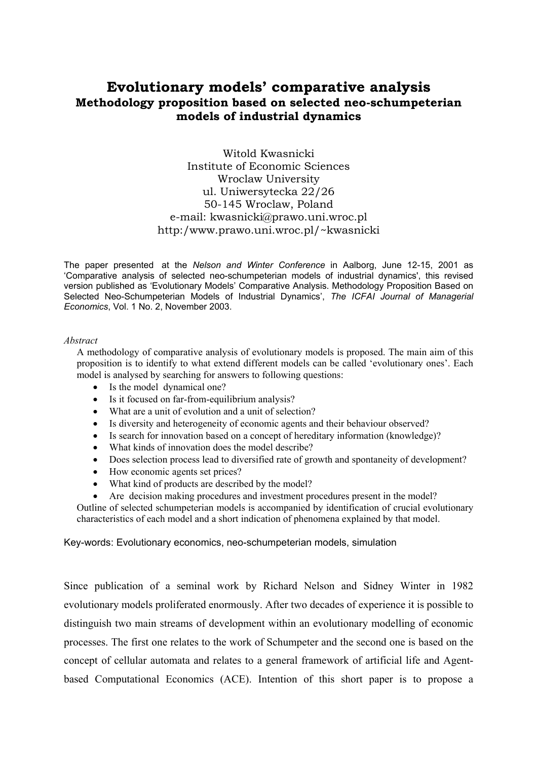# **Evolutionary models' comparative analysis Methodology proposition based on selected neo-schumpeterian models of industrial dynamics**

Witold Kwasnicki Institute of Economic Sciences Wroclaw University ul. Uniwersytecka 22/26 50-145 Wroclaw, Poland e-mail: kwasnicki@prawo.uni.wroc.pl http:/www.prawo.uni.wroc.pl/~kwasnicki

The paper presented at the *Nelson and Winter Conference* in Aalborg, June 12-15, 2001 as 'Comparative analysis of selected neo-schumpeterian models of industrial dynamics', this revised version published as 'Evolutionary Models' Comparative Analysis. Methodology Proposition Based on Selected Neo-Schumpeterian Models of Industrial Dynamics', *The ICFAI Journal of Managerial Economics*, Vol. 1 No. 2, November 2003.

#### *Abstract*

A methodology of comparative analysis of evolutionary models is proposed. The main aim of this proposition is to identify to what extend different models can be called 'evolutionary ones'. Each model is analysed by searching for answers to following questions:

- Is the model dynamical one?
- Is it focused on far-from-equilibrium analysis?
- What are a unit of evolution and a unit of selection?
- Is diversity and heterogeneity of economic agents and their behaviour observed?
- Is search for innovation based on a concept of hereditary information (knowledge)?
- What kinds of innovation does the model describe?
- Does selection process lead to diversified rate of growth and spontaneity of development?
- How economic agents set prices?
- What kind of products are described by the model?
- Are decision making procedures and investment procedures present in the model?

Outline of selected schumpeterian models is accompanied by identification of crucial evolutionary characteristics of each model and a short indication of phenomena explained by that model.

Key-words: Evolutionary economics, neo-schumpeterian models, simulation

Since publication of a seminal work by Richard Nelson and Sidney Winter in 1982 evolutionary models proliferated enormously. After two decades of experience it is possible to distinguish two main streams of development within an evolutionary modelling of economic processes. The first one relates to the work of Schumpeter and the second one is based on the concept of cellular automata and relates to a general framework of artificial life and Agentbased Computational Economics (ACE). Intention of this short paper is to propose a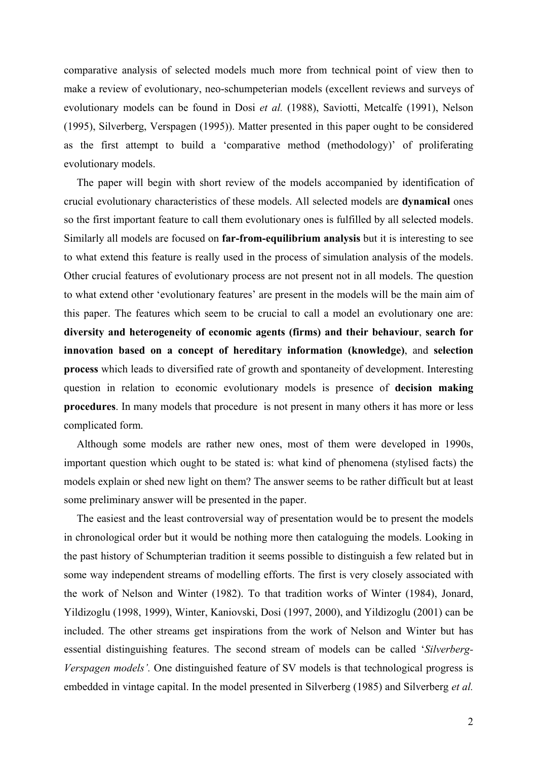comparative analysis of selected models much more from technical point of view then to make a review of evolutionary, neo-schumpeterian models (excellent reviews and surveys of evolutionary models can be found in Dosi *et al.* (1988), Saviotti, Metcalfe (1991), Nelson (1995), Silverberg, Verspagen (1995)). Matter presented in this paper ought to be considered as the first attempt to build a 'comparative method (methodology)' of proliferating evolutionary models.

The paper will begin with short review of the models accompanied by identification of crucial evolutionary characteristics of these models. All selected models are **dynamical** ones so the first important feature to call them evolutionary ones is fulfilled by all selected models. Similarly all models are focused on **far-from-equilibrium analysis** but it is interesting to see to what extend this feature is really used in the process of simulation analysis of the models. Other crucial features of evolutionary process are not present not in all models. The question to what extend other 'evolutionary features' are present in the models will be the main aim of this paper. The features which seem to be crucial to call a model an evolutionary one are: **diversity and heterogeneity of economic agents (firms) and their behaviour**, **search for innovation based on a concept of hereditary information (knowledge)**, and **selection process** which leads to diversified rate of growth and spontaneity of development. Interesting question in relation to economic evolutionary models is presence of **decision making procedures**. In many models that procedure is not present in many others it has more or less complicated form.

Although some models are rather new ones, most of them were developed in 1990s, important question which ought to be stated is: what kind of phenomena (stylised facts) the models explain or shed new light on them? The answer seems to be rather difficult but at least some preliminary answer will be presented in the paper.

The easiest and the least controversial way of presentation would be to present the models in chronological order but it would be nothing more then cataloguing the models. Looking in the past history of Schumpterian tradition it seems possible to distinguish a few related but in some way independent streams of modelling efforts. The first is very closely associated with the work of Nelson and Winter (1982). To that tradition works of Winter (1984), Jonard, Yildizoglu (1998, 1999), Winter, Kaniovski, Dosi (1997, 2000), and Yildizoglu (2001) can be included. The other streams get inspirations from the work of Nelson and Winter but has essential distinguishing features. The second stream of models can be called '*Silverberg-Verspagen models'.* One distinguished feature of SV models is that technological progress is embedded in vintage capital. In the model presented in Silverberg (1985) and Silverberg *et al.*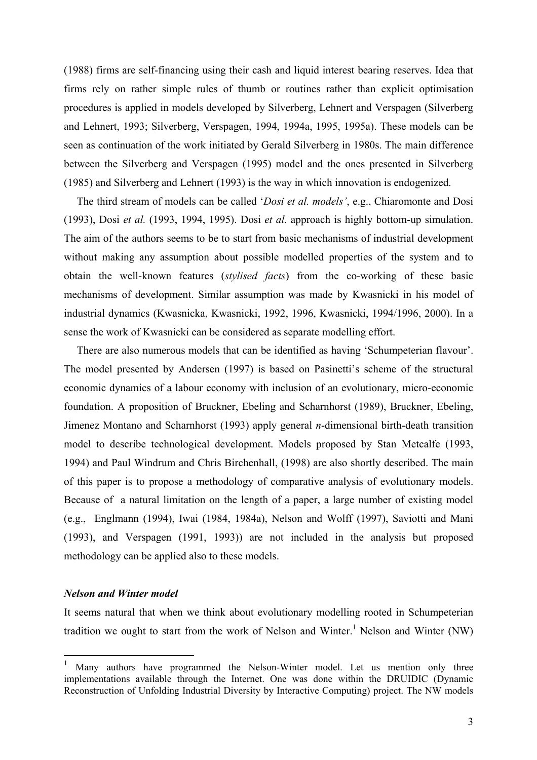(1988) firms are self-financing using their cash and liquid interest bearing reserves. Idea that firms rely on rather simple rules of thumb or routines rather than explicit optimisation procedures is applied in models developed by Silverberg, Lehnert and Verspagen (Silverberg and Lehnert, 1993; Silverberg, Verspagen, 1994, 1994a, 1995, 1995a). These models can be seen as continuation of the work initiated by Gerald Silverberg in 1980s. The main difference between the Silverberg and Verspagen (1995) model and the ones presented in Silverberg (1985) and Silverberg and Lehnert (1993) is the way in which innovation is endogenized.

The third stream of models can be called '*Dosi et al. models'*, e.g., Chiaromonte and Dosi (1993), Dosi *et al.* (1993, 1994, 1995). Dosi *et al*. approach is highly bottom-up simulation. The aim of the authors seems to be to start from basic mechanisms of industrial development without making any assumption about possible modelled properties of the system and to obtain the well-known features (*stylised facts*) from the co-working of these basic mechanisms of development. Similar assumption was made by Kwasnicki in his model of industrial dynamics (Kwasnicka, Kwasnicki, 1992, 1996, Kwasnicki, 1994/1996, 2000). In a sense the work of Kwasnicki can be considered as separate modelling effort.

There are also numerous models that can be identified as having 'Schumpeterian flavour'. The model presented by Andersen (1997) is based on Pasinetti's scheme of the structural economic dynamics of a labour economy with inclusion of an evolutionary, micro-economic foundation. A proposition of Bruckner, Ebeling and Scharnhorst (1989), Bruckner, Ebeling, Jimenez Montano and Scharnhorst (1993) apply general *n*-dimensional birth-death transition model to describe technological development. Models proposed by Stan Metcalfe (1993, 1994) and Paul Windrum and Chris Birchenhall, (1998) are also shortly described. The main of this paper is to propose a methodology of comparative analysis of evolutionary models. Because of a natural limitation on the length of a paper, a large number of existing model (e.g., Englmann (1994), Iwai (1984, 1984a), Nelson and Wolff (1997), Saviotti and Mani (1993), and Verspagen (1991, 1993)) are not included in the analysis but proposed methodology can be applied also to these models.

## *Nelson and Winter model*

1

It seems natural that when we think about evolutionary modelling rooted in Schumpeterian tradition we ought to start from the work of Nelson and Winter.<sup>1</sup> Nelson and Winter (NW)

Many authors have programmed the Nelson-Winter model. Let us mention only three implementations available through the Internet. One was done within the DRUIDIC (Dynamic Reconstruction of Unfolding Industrial Diversity by Interactive Computing) project. The NW models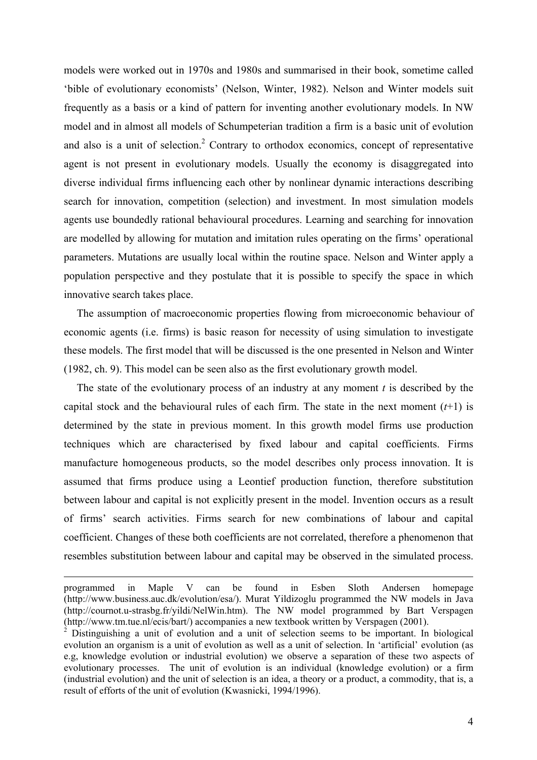models were worked out in 1970s and 1980s and summarised in their book, sometime called 'bible of evolutionary economists' (Nelson, Winter, 1982). Nelson and Winter models suit frequently as a basis or a kind of pattern for inventing another evolutionary models. In NW model and in almost all models of Schumpeterian tradition a firm is a basic unit of evolution and also is a unit of selection. $2$  Contrary to orthodox economics, concept of representative agent is not present in evolutionary models. Usually the economy is disaggregated into diverse individual firms influencing each other by nonlinear dynamic interactions describing search for innovation, competition (selection) and investment. In most simulation models agents use boundedly rational behavioural procedures. Learning and searching for innovation are modelled by allowing for mutation and imitation rules operating on the firms' operational parameters. Mutations are usually local within the routine space. Nelson and Winter apply a population perspective and they postulate that it is possible to specify the space in which innovative search takes place.

 The assumption of macroeconomic properties flowing from microeconomic behaviour of economic agents (i.e. firms) is basic reason for necessity of using simulation to investigate these models. The first model that will be discussed is the one presented in Nelson and Winter (1982, ch. 9). This model can be seen also as the first evolutionary growth model.

The state of the evolutionary process of an industry at any moment  $t$  is described by the capital stock and the behavioural rules of each firm. The state in the next moment  $(t+1)$  is determined by the state in previous moment. In this growth model firms use production techniques which are characterised by fixed labour and capital coefficients. Firms manufacture homogeneous products, so the model describes only process innovation. It is assumed that firms produce using a Leontief production function, therefore substitution between labour and capital is not explicitly present in the model. Invention occurs as a result of firms' search activities. Firms search for new combinations of labour and capital coefficient. Changes of these both coefficients are not correlated, therefore a phenomenon that resembles substitution between labour and capital may be observed in the simulated process.

1

programmed in Maple V can be found in Esben Sloth Andersen homepage (http://www.business.auc.dk/evolution/esa/). Murat Yildizoglu programmed the NW models in Java (http://cournot.u-strasbg.fr/yildi/NelWin.htm). The NW model programmed by Bart Verspagen (http://www.tm.tue.nl/ecis/bart/) accompanies a new textbook written by Verspagen (2001).

 $2$  Distinguishing a unit of evolution and a unit of selection seems to be important. In biological evolution an organism is a unit of evolution as well as a unit of selection. In 'artificial' evolution (as e.g, knowledge evolution or industrial evolution) we observe a separation of these two aspects of evolutionary processes. The unit of evolution is an individual (knowledge evolution) or a firm (industrial evolution) and the unit of selection is an idea, a theory or a product, a commodity, that is, a result of efforts of the unit of evolution (Kwasnicki, 1994/1996).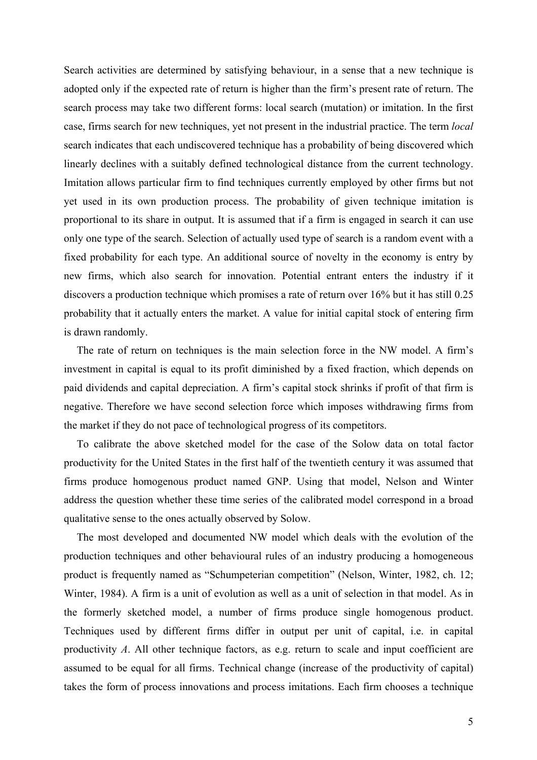Search activities are determined by satisfying behaviour, in a sense that a new technique is adopted only if the expected rate of return is higher than the firm's present rate of return. The search process may take two different forms: local search (mutation) or imitation. In the first case, firms search for new techniques, yet not present in the industrial practice. The term *local*  search indicates that each undiscovered technique has a probability of being discovered which linearly declines with a suitably defined technological distance from the current technology. Imitation allows particular firm to find techniques currently employed by other firms but not yet used in its own production process. The probability of given technique imitation is proportional to its share in output. It is assumed that if a firm is engaged in search it can use only one type of the search. Selection of actually used type of search is a random event with a fixed probability for each type. An additional source of novelty in the economy is entry by new firms, which also search for innovation. Potential entrant enters the industry if it discovers a production technique which promises a rate of return over 16% but it has still 0.25 probability that it actually enters the market. A value for initial capital stock of entering firm is drawn randomly.

 The rate of return on techniques is the main selection force in the NW model. A firm's investment in capital is equal to its profit diminished by a fixed fraction, which depends on paid dividends and capital depreciation. A firm's capital stock shrinks if profit of that firm is negative. Therefore we have second selection force which imposes withdrawing firms from the market if they do not pace of technological progress of its competitors.

 To calibrate the above sketched model for the case of the Solow data on total factor productivity for the United States in the first half of the twentieth century it was assumed that firms produce homogenous product named GNP. Using that model, Nelson and Winter address the question whether these time series of the calibrated model correspond in a broad qualitative sense to the ones actually observed by Solow.

 The most developed and documented NW model which deals with the evolution of the production techniques and other behavioural rules of an industry producing a homogeneous product is frequently named as "Schumpeterian competition" (Nelson, Winter, 1982, ch. 12; Winter, 1984). A firm is a unit of evolution as well as a unit of selection in that model. As in the formerly sketched model, a number of firms produce single homogenous product. Techniques used by different firms differ in output per unit of capital, i.e. in capital productivity *A*. All other technique factors, as e.g. return to scale and input coefficient are assumed to be equal for all firms. Technical change (increase of the productivity of capital) takes the form of process innovations and process imitations. Each firm chooses a technique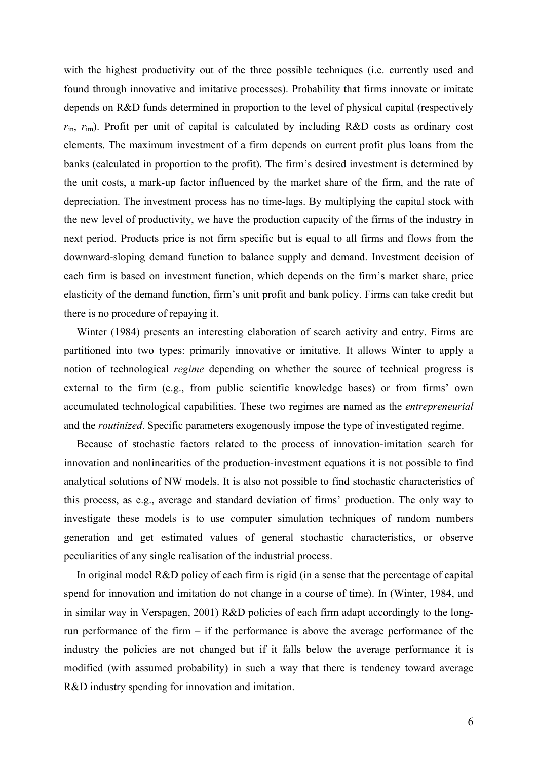with the highest productivity out of the three possible techniques (i.e. currently used and found through innovative and imitative processes). Probability that firms innovate or imitate depends on R&D funds determined in proportion to the level of physical capital (respectively *r*in, *r*im). Profit per unit of capital is calculated by including R&D costs as ordinary cost elements. The maximum investment of a firm depends on current profit plus loans from the banks (calculated in proportion to the profit). The firm's desired investment is determined by the unit costs, a mark-up factor influenced by the market share of the firm, and the rate of depreciation. The investment process has no time-lags. By multiplying the capital stock with the new level of productivity, we have the production capacity of the firms of the industry in next period. Products price is not firm specific but is equal to all firms and flows from the downward-sloping demand function to balance supply and demand. Investment decision of each firm is based on investment function, which depends on the firm's market share, price elasticity of the demand function, firm's unit profit and bank policy. Firms can take credit but there is no procedure of repaying it.

 Winter (1984) presents an interesting elaboration of search activity and entry. Firms are partitioned into two types: primarily innovative or imitative. It allows Winter to apply a notion of technological *regime* depending on whether the source of technical progress is external to the firm (e.g., from public scientific knowledge bases) or from firms' own accumulated technological capabilities. These two regimes are named as the *entrepreneurial*  and the *routinized*. Specific parameters exogenously impose the type of investigated regime.

 Because of stochastic factors related to the process of innovation-imitation search for innovation and nonlinearities of the production-investment equations it is not possible to find analytical solutions of NW models. It is also not possible to find stochastic characteristics of this process, as e.g., average and standard deviation of firms' production. The only way to investigate these models is to use computer simulation techniques of random numbers generation and get estimated values of general stochastic characteristics, or observe peculiarities of any single realisation of the industrial process.

 In original model R&D policy of each firm is rigid (in a sense that the percentage of capital spend for innovation and imitation do not change in a course of time). In (Winter, 1984, and in similar way in Verspagen, 2001) R&D policies of each firm adapt accordingly to the longrun performance of the firm – if the performance is above the average performance of the industry the policies are not changed but if it falls below the average performance it is modified (with assumed probability) in such a way that there is tendency toward average R&D industry spending for innovation and imitation.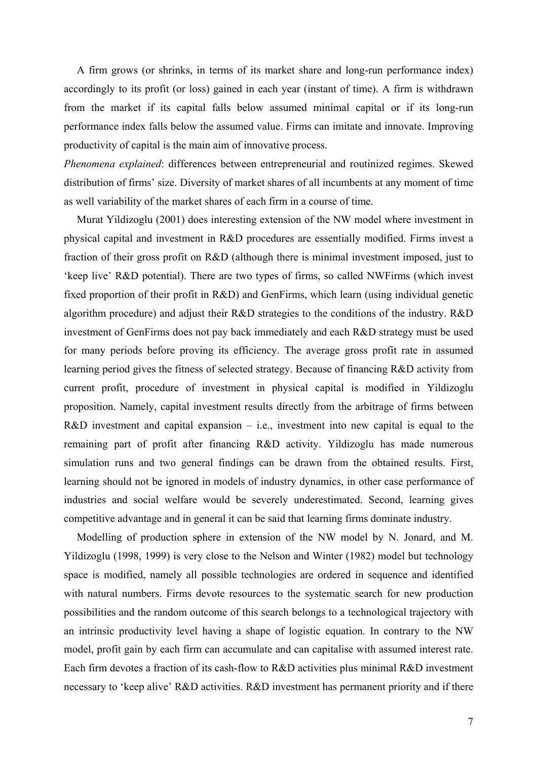A firm grows (or shrinks, in terms of its market share and long-run performance index) accordingly to its profit (or loss) gained in each year (instant of time). A firm is withdrawn from the market if its capital falls below assumed minimal capital or if its long-run performance index falls below the assumed value. Firms can imitate and innovate. Improving productivity of capital is the main aim of innovative process.

*Phenomena explained*: differences between entrepreneurial and routinized regimes. Skewed distribution of firms' size. Diversity of market shares of all incumbents at any moment of time as well variability of the market shares of each firm in a course of time.

 Murat Yildizoglu (2001) does interesting extension of the NW model where investment in physical capital and investment in R&D procedures are essentially modified. Firms invest a fraction of their gross profit on R&D (although there is minimal investment imposed, just to 'keep live' R&D potential). There are two types of firms, so called NWFirms (which invest fixed proportion of their profit in R&D) and GenFirms, which learn (using individual genetic algorithm procedure) and adjust their R&D strategies to the conditions of the industry. R&D investment of GenFirms does not pay back immediately and each R&D strategy must be used for many periods before proving its efficiency. The average gross profit rate in assumed learning period gives the fitness of selected strategy. Because of financing R&D activity from current profit, procedure of investment in physical capital is modified in Yildizoglu proposition. Namely, capital investment results directly from the arbitrage of firms between R&D investment and capital expansion – i.e., investment into new capital is equal to the remaining part of profit after financing R&D activity. Yildizoglu has made numerous simulation runs and two general findings can be drawn from the obtained results. First, learning should not be ignored in models of industry dynamics, in other case performance of industries and social welfare would be severely underestimated. Second, learning gives competitive advantage and in general it can be said that learning firms dominate industry.

 Modelling of production sphere in extension of the NW model by N. Jonard, and M. Yildizoglu (1998, 1999) is very close to the Nelson and Winter (1982) model but technology space is modified, namely all possible technologies are ordered in sequence and identified with natural numbers. Firms devote resources to the systematic search for new production possibilities and the random outcome of this search belongs to a technological trajectory with an intrinsic productivity level having a shape of logistic equation. In contrary to the NW model, profit gain by each firm can accumulate and can capitalise with assumed interest rate. Each firm devotes a fraction of its cash-flow to R&D activities plus minimal R&D investment necessary to 'keep alive' R&D activities. R&D investment has permanent priority and if there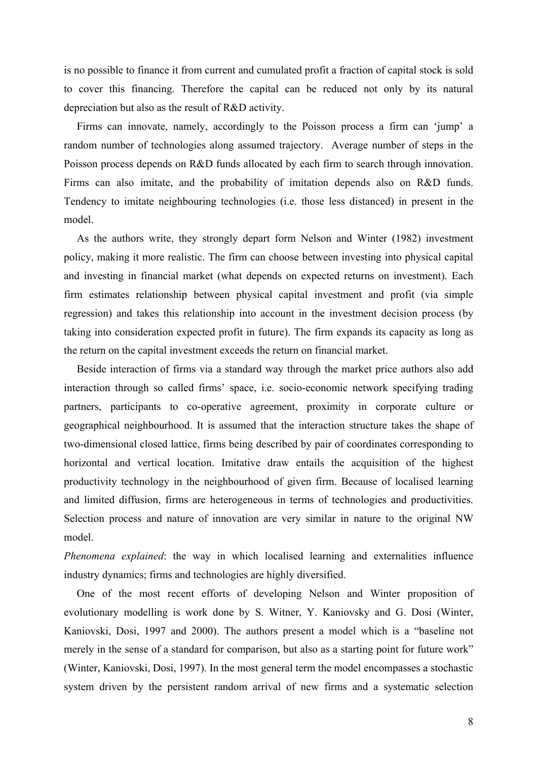is no possible to finance it from current and cumulated profit a fraction of capital stock is sold to cover this financing. Therefore the capital can be reduced not only by its natural depreciation but also as the result of R&D activity.

 Firms can innovate, namely, accordingly to the Poisson process a firm can 'jump' a random number of technologies along assumed trajectory. Average number of steps in the Poisson process depends on R&D funds allocated by each firm to search through innovation. Firms can also imitate, and the probability of imitation depends also on R&D funds. Tendency to imitate neighbouring technologies (i.e. those less distanced) in present in the model.

 As the authors write, they strongly depart form Nelson and Winter (1982) investment policy, making it more realistic. The firm can choose between investing into physical capital and investing in financial market (what depends on expected returns on investment). Each firm estimates relationship between physical capital investment and profit (via simple regression) and takes this relationship into account in the investment decision process (by taking into consideration expected profit in future). The firm expands its capacity as long as the return on the capital investment exceeds the return on financial market.

 Beside interaction of firms via a standard way through the market price authors also add interaction through so called firms' space, i.e. socio-economic network specifying trading partners, participants to co-operative agreement, proximity in corporate culture or geographical neighbourhood. It is assumed that the interaction structure takes the shape of two-dimensional closed lattice, firms being described by pair of coordinates corresponding to horizontal and vertical location. Imitative draw entails the acquisition of the highest productivity technology in the neighbourhood of given firm. Because of localised learning and limited diffusion, firms are heterogeneous in terms of technologies and productivities. Selection process and nature of innovation are very similar in nature to the original NW model.

*Phenomena explained*: the way in which localised learning and externalities influence industry dynamics; firms and technologies are highly diversified.

One of the most recent efforts of developing Nelson and Winter proposition of evolutionary modelling is work done by S. Witner, Y. Kaniovsky and G. Dosi (Winter, Kaniovski, Dosi, 1997 and 2000). The authors present a model which is a "baseline not merely in the sense of a standard for comparison, but also as a starting point for future work" (Winter, Kaniovski, Dosi, 1997). In the most general term the model encompasses a stochastic system driven by the persistent random arrival of new firms and a systematic selection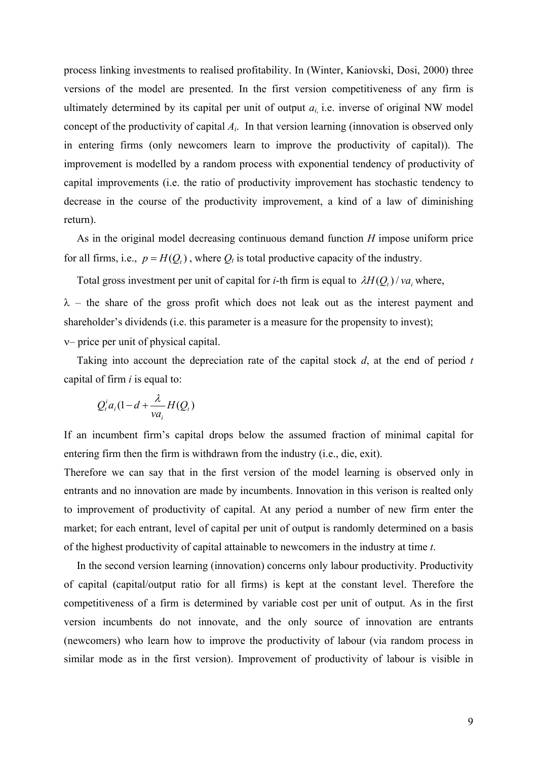process linking investments to realised profitability. In (Winter, Kaniovski, Dosi, 2000) three versions of the model are presented. In the first version competitiveness of any firm is ultimately determined by its capital per unit of output *ai*, i.e. inverse of original NW model concept of the productivity of capital *Ai*. In that version learning (innovation is observed only in entering firms (only newcomers learn to improve the productivity of capital)). The improvement is modelled by a random process with exponential tendency of productivity of capital improvements (i.e. the ratio of productivity improvement has stochastic tendency to decrease in the course of the productivity improvement, a kind of a law of diminishing return).

As in the original model decreasing continuous demand function *H* impose uniform price for all firms, i.e.,  $p = H(Q_t)$ , where  $Q_t$  is total productive capacity of the industry.

Total gross investment per unit of capital for *i*-th firm is equal to  $\lambda H(Q_t)/\nu a_t$ , where,

 $\lambda$  – the share of the gross profit which does not leak out as the interest payment and shareholder's dividends (i.e. this parameter is a measure for the propensity to invest); ν– price per unit of physical capital.

 Taking into account the depreciation rate of the capital stock *d*, at the end of period *t* capital of firm *i* is equal to:

$$
Q_i^i a_i (1 - d + \frac{\lambda}{va_i} H(Q_i))
$$

If an incumbent firm's capital drops below the assumed fraction of minimal capital for entering firm then the firm is withdrawn from the industry (i.e., die, exit).

Therefore we can say that in the first version of the model learning is observed only in entrants and no innovation are made by incumbents. Innovation in this verison is realted only to improvement of productivity of capital. At any period a number of new firm enter the market; for each entrant, level of capital per unit of output is randomly determined on a basis of the highest productivity of capital attainable to newcomers in the industry at time *t*.

 In the second version learning (innovation) concerns only labour productivity. Productivity of capital (capital/output ratio for all firms) is kept at the constant level. Therefore the competitiveness of a firm is determined by variable cost per unit of output. As in the first version incumbents do not innovate, and the only source of innovation are entrants (newcomers) who learn how to improve the productivity of labour (via random process in similar mode as in the first version). Improvement of productivity of labour is visible in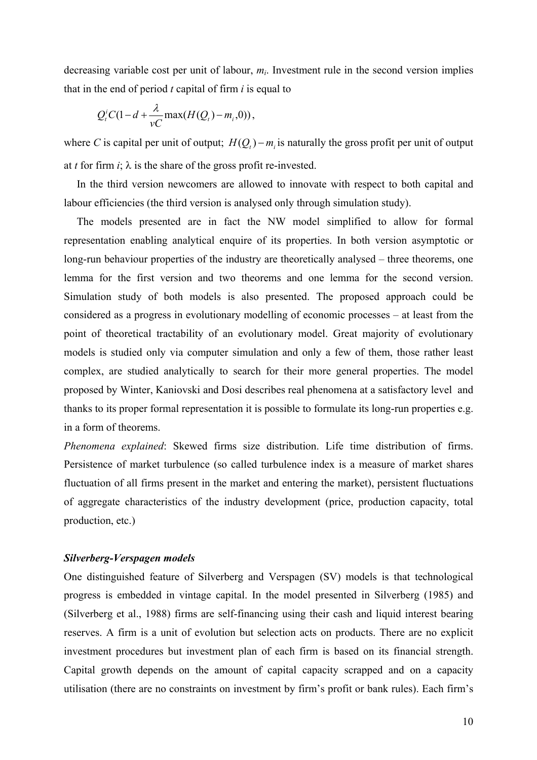decreasing variable cost per unit of labour,  $m_i$ . Investment rule in the second version implies that in the end of period *t* capital of firm *i* is equal to

$$
Q_t^i C(1-d+\frac{\lambda}{vC}\max(H(Q_t)-m_t,0)),
$$

where *C* is capital per unit of output;  $H(Q_t) - m_i$  is naturally the gross profit per unit of output at *t* for firm  $i$ ;  $\lambda$  is the share of the gross profit re-invested.

 In the third version newcomers are allowed to innovate with respect to both capital and labour efficiencies (the third version is analysed only through simulation study).

 The models presented are in fact the NW model simplified to allow for formal representation enabling analytical enquire of its properties. In both version asymptotic or long-run behaviour properties of the industry are theoretically analysed – three theorems, one lemma for the first version and two theorems and one lemma for the second version. Simulation study of both models is also presented. The proposed approach could be considered as a progress in evolutionary modelling of economic processes – at least from the point of theoretical tractability of an evolutionary model. Great majority of evolutionary models is studied only via computer simulation and only a few of them, those rather least complex, are studied analytically to search for their more general properties. The model proposed by Winter, Kaniovski and Dosi describes real phenomena at a satisfactory level and thanks to its proper formal representation it is possible to formulate its long-run properties e.g. in a form of theorems.

*Phenomena explained*: Skewed firms size distribution. Life time distribution of firms. Persistence of market turbulence (so called turbulence index is a measure of market shares fluctuation of all firms present in the market and entering the market), persistent fluctuations of aggregate characteristics of the industry development (price, production capacity, total production, etc.)

# *Silverberg-Verspagen models*

One distinguished feature of Silverberg and Verspagen (SV) models is that technological progress is embedded in vintage capital. In the model presented in Silverberg (1985) and (Silverberg et al., 1988) firms are self-financing using their cash and liquid interest bearing reserves. A firm is a unit of evolution but selection acts on products. There are no explicit investment procedures but investment plan of each firm is based on its financial strength. Capital growth depends on the amount of capital capacity scrapped and on a capacity utilisation (there are no constraints on investment by firm's profit or bank rules). Each firm's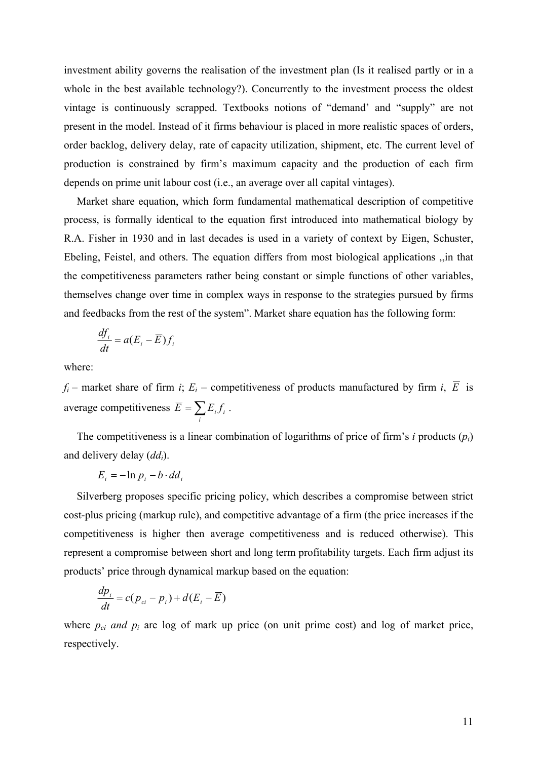investment ability governs the realisation of the investment plan (Is it realised partly or in a whole in the best available technology?). Concurrently to the investment process the oldest vintage is continuously scrapped. Textbooks notions of "demand' and "supply" are not present in the model. Instead of it firms behaviour is placed in more realistic spaces of orders, order backlog, delivery delay, rate of capacity utilization, shipment, etc. The current level of production is constrained by firm's maximum capacity and the production of each firm depends on prime unit labour cost (i.e., an average over all capital vintages).

 Market share equation, which form fundamental mathematical description of competitive process, is formally identical to the equation first introduced into mathematical biology by R.A. Fisher in 1930 and in last decades is used in a variety of context by Eigen, Schuster, Ebeling, Feistel, and others. The equation differs from most biological applications ,,in that the competitiveness parameters rather being constant or simple functions of other variables, themselves change over time in complex ways in response to the strategies pursued by firms and feedbacks from the rest of the system". Market share equation has the following form:

$$
\frac{df_i}{dt} = a(E_i - \overline{E})f_i
$$

where:

 $f_i$  – market share of firm *i*;  $E_i$  – competitiveness of products manufactured by firm *i*,  $\overline{E}$  is average competitiveness  $\overline{E} = \sum_i$  $\overline{E} = \sum E_i f_i$ .

 The competitiveness is a linear combination of logarithms of price of firm's *i* products (*pi*) and delivery delay (*ddi*).

$$
E_i = -\ln p_i - b \cdot dd_i
$$

 Silverberg proposes specific pricing policy, which describes a compromise between strict cost-plus pricing (markup rule), and competitive advantage of a firm (the price increases if the competitiveness is higher then average competitiveness and is reduced otherwise). This represent a compromise between short and long term profitability targets. Each firm adjust its products' price through dynamical markup based on the equation:

$$
\frac{dp_i}{dt} = c(p_{ci} - p_i) + d(E_i - \overline{E})
$$

where  $p_{ci}$  and  $p_i$  are log of mark up price (on unit prime cost) and log of market price, respectively.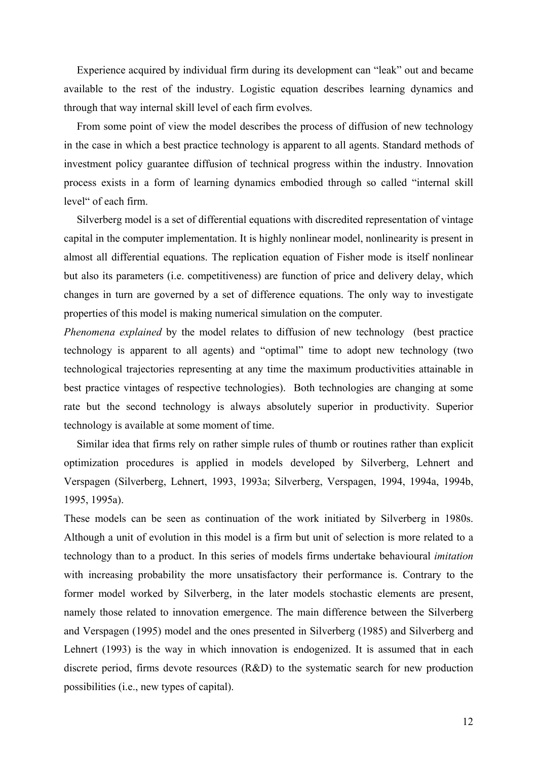Experience acquired by individual firm during its development can "leak" out and became available to the rest of the industry. Logistic equation describes learning dynamics and through that way internal skill level of each firm evolves.

 From some point of view the model describes the process of diffusion of new technology in the case in which a best practice technology is apparent to all agents. Standard methods of investment policy guarantee diffusion of technical progress within the industry. Innovation process exists in a form of learning dynamics embodied through so called "internal skill level" of each firm.

 Silverberg model is a set of differential equations with discredited representation of vintage capital in the computer implementation. It is highly nonlinear model, nonlinearity is present in almost all differential equations. The replication equation of Fisher mode is itself nonlinear but also its parameters (i.e. competitiveness) are function of price and delivery delay, which changes in turn are governed by a set of difference equations. The only way to investigate properties of this model is making numerical simulation on the computer.

*Phenomena explained* by the model relates to diffusion of new technology (best practice technology is apparent to all agents) and "optimal" time to adopt new technology (two technological trajectories representing at any time the maximum productivities attainable in best practice vintages of respective technologies). Both technologies are changing at some rate but the second technology is always absolutely superior in productivity. Superior technology is available at some moment of time.

 Similar idea that firms rely on rather simple rules of thumb or routines rather than explicit optimization procedures is applied in models developed by Silverberg, Lehnert and Verspagen (Silverberg, Lehnert, 1993, 1993a; Silverberg, Verspagen, 1994, 1994a, 1994b, 1995, 1995a).

These models can be seen as continuation of the work initiated by Silverberg in 1980s. Although a unit of evolution in this model is a firm but unit of selection is more related to a technology than to a product. In this series of models firms undertake behavioural *imitation*  with increasing probability the more unsatisfactory their performance is. Contrary to the former model worked by Silverberg, in the later models stochastic elements are present, namely those related to innovation emergence. The main difference between the Silverberg and Verspagen (1995) model and the ones presented in Silverberg (1985) and Silverberg and Lehnert (1993) is the way in which innovation is endogenized. It is assumed that in each discrete period, firms devote resources (R&D) to the systematic search for new production possibilities (i.e., new types of capital).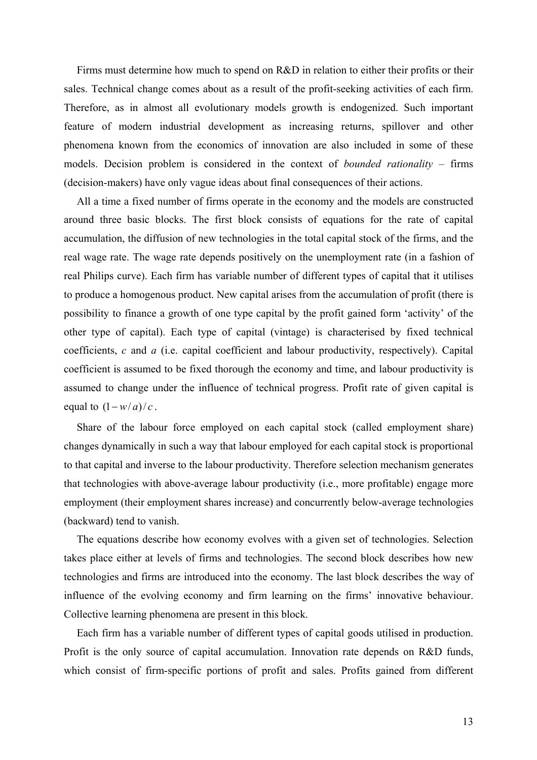Firms must determine how much to spend on R&D in relation to either their profits or their sales. Technical change comes about as a result of the profit-seeking activities of each firm. Therefore, as in almost all evolutionary models growth is endogenized. Such important feature of modern industrial development as increasing returns, spillover and other phenomena known from the economics of innovation are also included in some of these models. Decision problem is considered in the context of *bounded rationality –* firms (decision-makers) have only vague ideas about final consequences of their actions.

 All a time a fixed number of firms operate in the economy and the models are constructed around three basic blocks. The first block consists of equations for the rate of capital accumulation, the diffusion of new technologies in the total capital stock of the firms, and the real wage rate. The wage rate depends positively on the unemployment rate (in a fashion of real Philips curve). Each firm has variable number of different types of capital that it utilises to produce a homogenous product. New capital arises from the accumulation of profit (there is possibility to finance a growth of one type capital by the profit gained form 'activity' of the other type of capital). Each type of capital (vintage) is characterised by fixed technical coefficients, *c* and *a* (i.e. capital coefficient and labour productivity, respectively). Capital coefficient is assumed to be fixed thorough the economy and time, and labour productivity is assumed to change under the influence of technical progress. Profit rate of given capital is equal to  $(1 - w/a)/c$ .

 Share of the labour force employed on each capital stock (called employment share) changes dynamically in such a way that labour employed for each capital stock is proportional to that capital and inverse to the labour productivity. Therefore selection mechanism generates that technologies with above-average labour productivity (i.e., more profitable) engage more employment (their employment shares increase) and concurrently below-average technologies (backward) tend to vanish.

 The equations describe how economy evolves with a given set of technologies. Selection takes place either at levels of firms and technologies. The second block describes how new technologies and firms are introduced into the economy. The last block describes the way of influence of the evolving economy and firm learning on the firms' innovative behaviour. Collective learning phenomena are present in this block.

 Each firm has a variable number of different types of capital goods utilised in production. Profit is the only source of capital accumulation. Innovation rate depends on R&D funds, which consist of firm-specific portions of profit and sales. Profits gained from different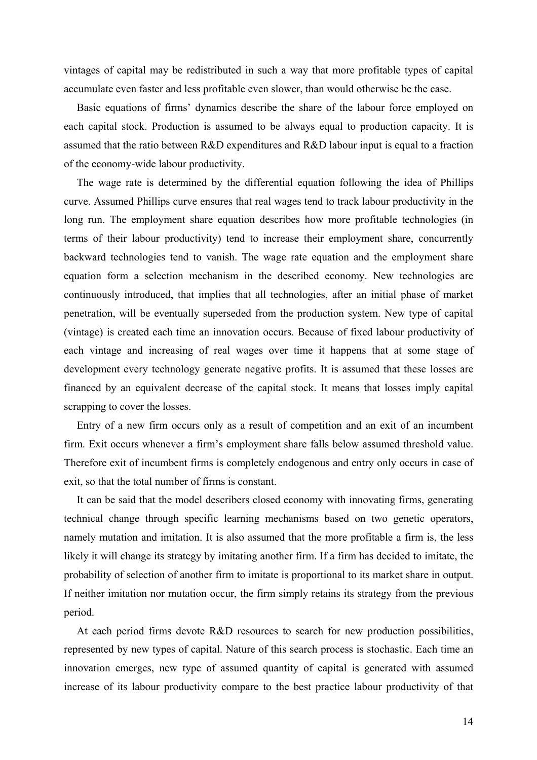vintages of capital may be redistributed in such a way that more profitable types of capital accumulate even faster and less profitable even slower, than would otherwise be the case.

 Basic equations of firms' dynamics describe the share of the labour force employed on each capital stock. Production is assumed to be always equal to production capacity. It is assumed that the ratio between R&D expenditures and R&D labour input is equal to a fraction of the economy-wide labour productivity.

 The wage rate is determined by the differential equation following the idea of Phillips curve. Assumed Phillips curve ensures that real wages tend to track labour productivity in the long run. The employment share equation describes how more profitable technologies (in terms of their labour productivity) tend to increase their employment share, concurrently backward technologies tend to vanish. The wage rate equation and the employment share equation form a selection mechanism in the described economy. New technologies are continuously introduced, that implies that all technologies, after an initial phase of market penetration, will be eventually superseded from the production system. New type of capital (vintage) is created each time an innovation occurs. Because of fixed labour productivity of each vintage and increasing of real wages over time it happens that at some stage of development every technology generate negative profits. It is assumed that these losses are financed by an equivalent decrease of the capital stock. It means that losses imply capital scrapping to cover the losses.

 Entry of a new firm occurs only as a result of competition and an exit of an incumbent firm. Exit occurs whenever a firm's employment share falls below assumed threshold value. Therefore exit of incumbent firms is completely endogenous and entry only occurs in case of exit, so that the total number of firms is constant.

 It can be said that the model describers closed economy with innovating firms, generating technical change through specific learning mechanisms based on two genetic operators, namely mutation and imitation. It is also assumed that the more profitable a firm is, the less likely it will change its strategy by imitating another firm. If a firm has decided to imitate, the probability of selection of another firm to imitate is proportional to its market share in output. If neither imitation nor mutation occur, the firm simply retains its strategy from the previous period.

 At each period firms devote R&D resources to search for new production possibilities, represented by new types of capital. Nature of this search process is stochastic. Each time an innovation emerges, new type of assumed quantity of capital is generated with assumed increase of its labour productivity compare to the best practice labour productivity of that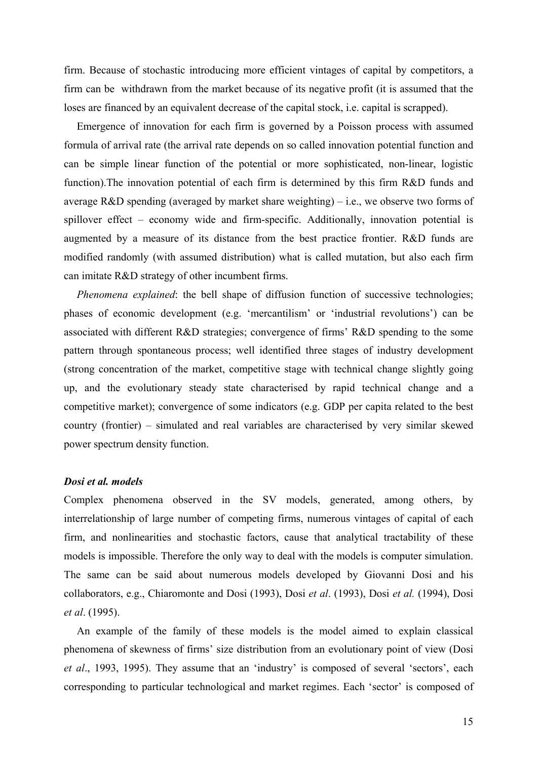firm. Because of stochastic introducing more efficient vintages of capital by competitors, a firm can be withdrawn from the market because of its negative profit (it is assumed that the loses are financed by an equivalent decrease of the capital stock, i.e. capital is scrapped).

 Emergence of innovation for each firm is governed by a Poisson process with assumed formula of arrival rate (the arrival rate depends on so called innovation potential function and can be simple linear function of the potential or more sophisticated, non-linear, logistic function).The innovation potential of each firm is determined by this firm R&D funds and average R&D spending (averaged by market share weighting) – i.e., we observe two forms of spillover effect – economy wide and firm-specific. Additionally, innovation potential is augmented by a measure of its distance from the best practice frontier. R&D funds are modified randomly (with assumed distribution) what is called mutation, but also each firm can imitate R&D strategy of other incumbent firms.

*Phenomena explained*: the bell shape of diffusion function of successive technologies; phases of economic development (e.g. 'mercantilism' or 'industrial revolutions') can be associated with different R&D strategies; convergence of firms' R&D spending to the some pattern through spontaneous process; well identified three stages of industry development (strong concentration of the market, competitive stage with technical change slightly going up, and the evolutionary steady state characterised by rapid technical change and a competitive market); convergence of some indicators (e.g. GDP per capita related to the best country (frontier) – simulated and real variables are characterised by very similar skewed power spectrum density function.

### *Dosi et al. models*

Complex phenomena observed in the SV models, generated, among others, by interrelationship of large number of competing firms, numerous vintages of capital of each firm, and nonlinearities and stochastic factors, cause that analytical tractability of these models is impossible. Therefore the only way to deal with the models is computer simulation. The same can be said about numerous models developed by Giovanni Dosi and his collaborators, e.g., Chiaromonte and Dosi (1993), Dosi *et al*. (1993), Dosi *et al.* (1994), Dosi *et al*. (1995).

 An example of the family of these models is the model aimed to explain classical phenomena of skewness of firms' size distribution from an evolutionary point of view (Dosi *et al*., 1993, 1995). They assume that an 'industry' is composed of several 'sectors', each corresponding to particular technological and market regimes. Each 'sector' is composed of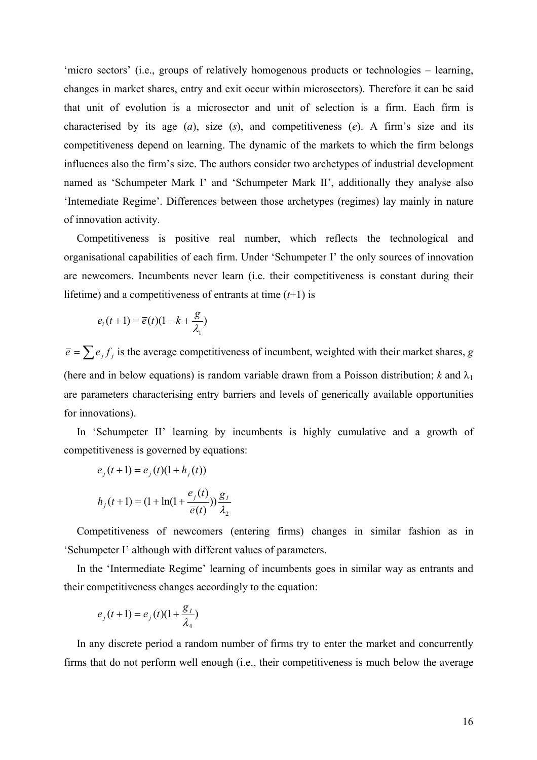'micro sectors' (i.e., groups of relatively homogenous products or technologies – learning, changes in market shares, entry and exit occur within microsectors). Therefore it can be said that unit of evolution is a microsector and unit of selection is a firm. Each firm is characterised by its age (*a*), size (*s*), and competitiveness (*e*). A firm's size and its competitiveness depend on learning. The dynamic of the markets to which the firm belongs influences also the firm's size. The authors consider two archetypes of industrial development named as 'Schumpeter Mark I' and 'Schumpeter Mark II', additionally they analyse also 'Intemediate Regime'. Differences between those archetypes (regimes) lay mainly in nature of innovation activity.

 Competitiveness is positive real number, which reflects the technological and organisational capabilities of each firm. Under 'Schumpeter I' the only sources of innovation are newcomers. Incumbents never learn (i.e. their competitiveness is constant during their lifetime) and a competitiveness of entrants at time (*t*+1) is

$$
e_i(t+1) = \overline{e}(t)(1 - k + \frac{g}{\lambda_1})
$$

 $\bar{e} = \sum e_j f_j$  is the average competitiveness of incumbent, weighted with their market shares, *g* (here and in below equations) is random variable drawn from a Poisson distribution; *k* and  $\lambda_1$ are parameters characterising entry barriers and levels of generically available opportunities for innovations).

 In 'Schumpeter II' learning by incumbents is highly cumulative and a growth of competitiveness is governed by equations:

$$
e_j(t+1) = e_j(t)(1 + h_j(t))
$$
  

$$
h_j(t+1) = (1 + \ln(1 + \frac{e_j(t)}{\bar{e}(t)})) \frac{g_j}{\lambda_2}
$$

 Competitiveness of newcomers (entering firms) changes in similar fashion as in 'Schumpeter I' although with different values of parameters.

 In the 'Intermediate Regime' learning of incumbents goes in similar way as entrants and their competitiveness changes accordingly to the equation:

$$
e_j(t+1) = e_j(t)(1 + \frac{g_j}{\lambda_4})
$$

 In any discrete period a random number of firms try to enter the market and concurrently firms that do not perform well enough (i.e., their competitiveness is much below the average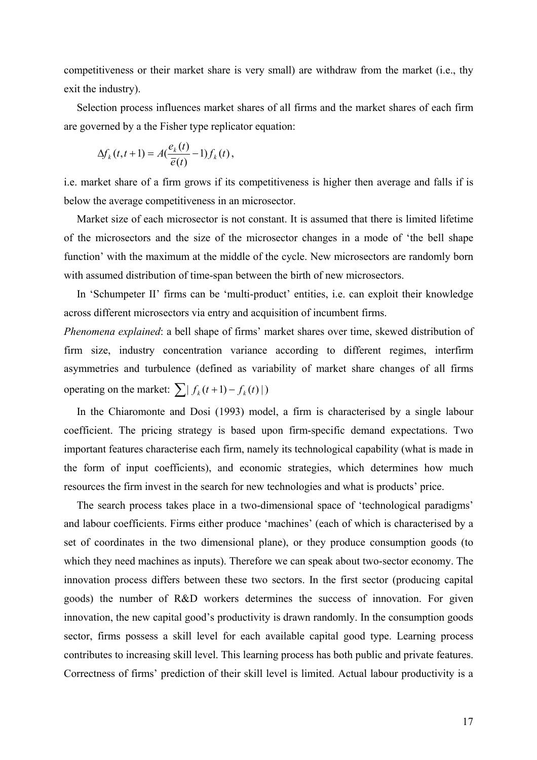competitiveness or their market share is very small) are withdraw from the market (i.e., thy exit the industry).

 Selection process influences market shares of all firms and the market shares of each firm are governed by a the Fisher type replicator equation:

$$
\Delta f_k(t,t+1) = A\left(\frac{e_k(t)}{\bar{e}(t)} - 1\right) f_k(t),
$$

i.e. market share of a firm grows if its competitiveness is higher then average and falls if is below the average competitiveness in an microsector.

 Market size of each microsector is not constant. It is assumed that there is limited lifetime of the microsectors and the size of the microsector changes in a mode of 'the bell shape function' with the maximum at the middle of the cycle. New microsectors are randomly born with assumed distribution of time-span between the birth of new microsectors.

 In 'Schumpeter II' firms can be 'multi-product' entities, i.e. can exploit their knowledge across different microsectors via entry and acquisition of incumbent firms.

*Phenomena explained*: a bell shape of firms' market shares over time, skewed distribution of firm size, industry concentration variance according to different regimes, interfirm asymmetries and turbulence (defined as variability of market share changes of all firms operating on the market:  $\sum | f_k(t+1) - f_k(t) |$ 

 In the Chiaromonte and Dosi (1993) model, a firm is characterised by a single labour coefficient. The pricing strategy is based upon firm-specific demand expectations. Two important features characterise each firm, namely its technological capability (what is made in the form of input coefficients), and economic strategies, which determines how much resources the firm invest in the search for new technologies and what is products' price.

 The search process takes place in a two-dimensional space of 'technological paradigms' and labour coefficients. Firms either produce 'machines' (each of which is characterised by a set of coordinates in the two dimensional plane), or they produce consumption goods (to which they need machines as inputs). Therefore we can speak about two-sector economy. The innovation process differs between these two sectors. In the first sector (producing capital goods) the number of R&D workers determines the success of innovation. For given innovation, the new capital good's productivity is drawn randomly. In the consumption goods sector, firms possess a skill level for each available capital good type. Learning process contributes to increasing skill level. This learning process has both public and private features. Correctness of firms' prediction of their skill level is limited. Actual labour productivity is a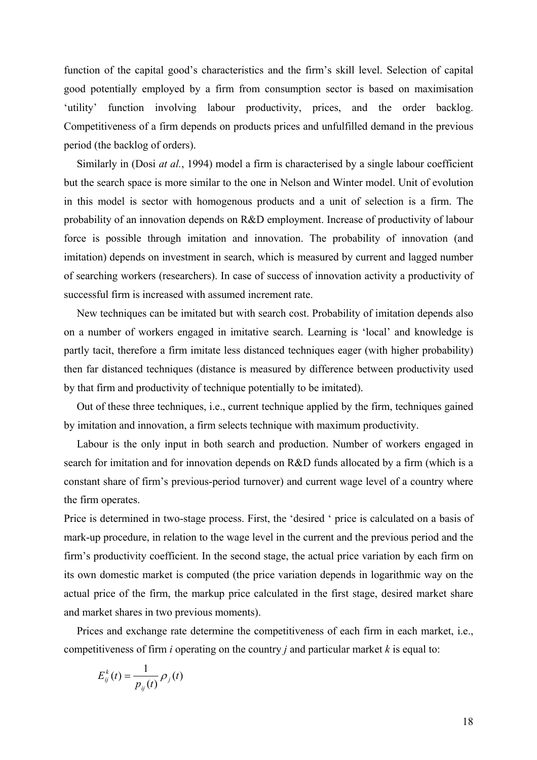function of the capital good's characteristics and the firm's skill level. Selection of capital good potentially employed by a firm from consumption sector is based on maximisation 'utility' function involving labour productivity, prices, and the order backlog. Competitiveness of a firm depends on products prices and unfulfilled demand in the previous period (the backlog of orders).

 Similarly in (Dosi *at al.*, 1994) model a firm is characterised by a single labour coefficient but the search space is more similar to the one in Nelson and Winter model. Unit of evolution in this model is sector with homogenous products and a unit of selection is a firm. The probability of an innovation depends on R&D employment. Increase of productivity of labour force is possible through imitation and innovation. The probability of innovation (and imitation) depends on investment in search, which is measured by current and lagged number of searching workers (researchers). In case of success of innovation activity a productivity of successful firm is increased with assumed increment rate.

 New techniques can be imitated but with search cost. Probability of imitation depends also on a number of workers engaged in imitative search. Learning is 'local' and knowledge is partly tacit, therefore a firm imitate less distanced techniques eager (with higher probability) then far distanced techniques (distance is measured by difference between productivity used by that firm and productivity of technique potentially to be imitated).

 Out of these three techniques, i.e., current technique applied by the firm, techniques gained by imitation and innovation, a firm selects technique with maximum productivity.

 Labour is the only input in both search and production. Number of workers engaged in search for imitation and for innovation depends on R&D funds allocated by a firm (which is a constant share of firm's previous-period turnover) and current wage level of a country where the firm operates.

Price is determined in two-stage process. First, the 'desired ' price is calculated on a basis of mark-up procedure, in relation to the wage level in the current and the previous period and the firm's productivity coefficient. In the second stage, the actual price variation by each firm on its own domestic market is computed (the price variation depends in logarithmic way on the actual price of the firm, the markup price calculated in the first stage, desired market share and market shares in two previous moments).

 Prices and exchange rate determine the competitiveness of each firm in each market, i.e., competitiveness of firm *i* operating on the country *j* and particular market *k* is equal to:

$$
E_{ij}^{k}(t) = \frac{1}{p_{ij}(t)} \rho_j(t)
$$

18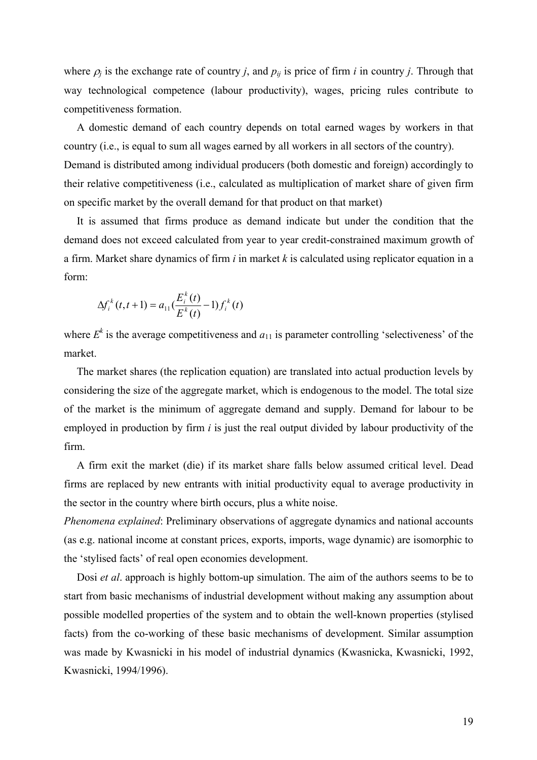where  $\rho_i$  is the exchange rate of country *j*, and  $p_{ij}$  is price of firm *i* in country *j*. Through that way technological competence (labour productivity), wages, pricing rules contribute to competitiveness formation.

 A domestic demand of each country depends on total earned wages by workers in that country (i.e., is equal to sum all wages earned by all workers in all sectors of the country). Demand is distributed among individual producers (both domestic and foreign) accordingly to their relative competitiveness (i.e., calculated as multiplication of market share of given firm on specific market by the overall demand for that product on that market)

 It is assumed that firms produce as demand indicate but under the condition that the demand does not exceed calculated from year to year credit-constrained maximum growth of a firm. Market share dynamics of firm *i* in market *k* is calculated using replicator equation in a form:

$$
\Delta f_i^k(t, t+1) = a_{11} \left( \frac{E_i^k(t)}{E^k(t)} - 1 \right) f_i^k(t)
$$

where  $E^k$  is the average competitiveness and  $a_{11}$  is parameter controlling 'selectiveness' of the market.

 The market shares (the replication equation) are translated into actual production levels by considering the size of the aggregate market, which is endogenous to the model. The total size of the market is the minimum of aggregate demand and supply. Demand for labour to be employed in production by firm *i* is just the real output divided by labour productivity of the firm.

 A firm exit the market (die) if its market share falls below assumed critical level. Dead firms are replaced by new entrants with initial productivity equal to average productivity in the sector in the country where birth occurs, plus a white noise.

*Phenomena explained*: Preliminary observations of aggregate dynamics and national accounts (as e.g. national income at constant prices, exports, imports, wage dynamic) are isomorphic to the 'stylised facts' of real open economies development.

 Dosi *et al*. approach is highly bottom-up simulation. The aim of the authors seems to be to start from basic mechanisms of industrial development without making any assumption about possible modelled properties of the system and to obtain the well-known properties (stylised facts) from the co-working of these basic mechanisms of development. Similar assumption was made by Kwasnicki in his model of industrial dynamics (Kwasnicka, Kwasnicki, 1992, Kwasnicki, 1994/1996).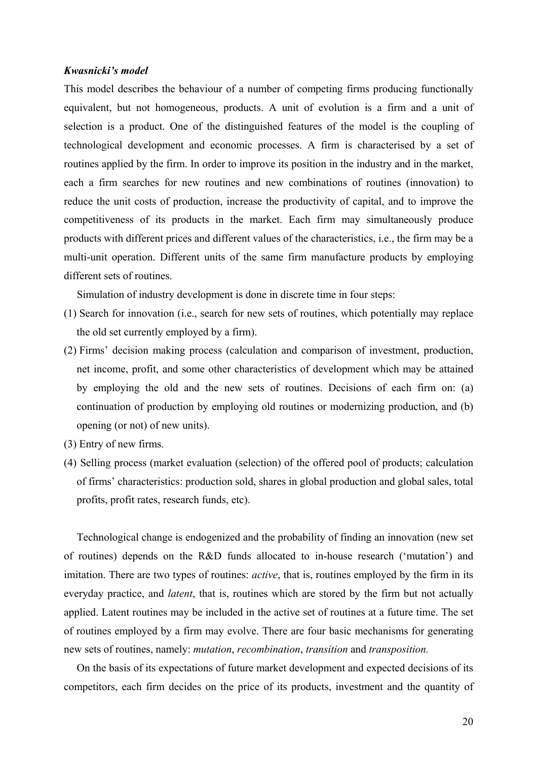## *Kwasnicki's model*

This model describes the behaviour of a number of competing firms producing functionally equivalent, but not homogeneous, products. A unit of evolution is a firm and a unit of selection is a product. One of the distinguished features of the model is the coupling of technological development and economic processes. A firm is characterised by a set of routines applied by the firm. In order to improve its position in the industry and in the market, each a firm searches for new routines and new combinations of routines (innovation) to reduce the unit costs of production, increase the productivity of capital, and to improve the competitiveness of its products in the market. Each firm may simultaneously produce products with different prices and different values of the characteristics, i.e., the firm may be a multi-unit operation. Different units of the same firm manufacture products by employing different sets of routines.

Simulation of industry development is done in discrete time in four steps:

- (1) Search for innovation (i.e., search for new sets of routines, which potentially may replace the old set currently employed by a firm).
- (2) Firms' decision making process (calculation and comparison of investment, production, net income, profit, and some other characteristics of development which may be attained by employing the old and the new sets of routines. Decisions of each firm on: (a) continuation of production by employing old routines or modernizing production, and (b) opening (or not) of new units).
- (3) Entry of new firms.
- (4) Selling process (market evaluation (selection) of the offered pool of products; calculation of firms' characteristics: production sold, shares in global production and global sales, total profits, profit rates, research funds, etc).

 Technological change is endogenized and the probability of finding an innovation (new set of routines) depends on the R&D funds allocated to in-house research ('mutation') and imitation. There are two types of routines: *active*, that is, routines employed by the firm in its everyday practice, and *latent*, that is, routines which are stored by the firm but not actually applied. Latent routines may be included in the active set of routines at a future time. The set of routines employed by a firm may evolve. There are four basic mechanisms for generating new sets of routines, namely: *mutation*, *recombination*, *transition* and *transposition.*

 On the basis of its expectations of future market development and expected decisions of its competitors, each firm decides on the price of its products, investment and the quantity of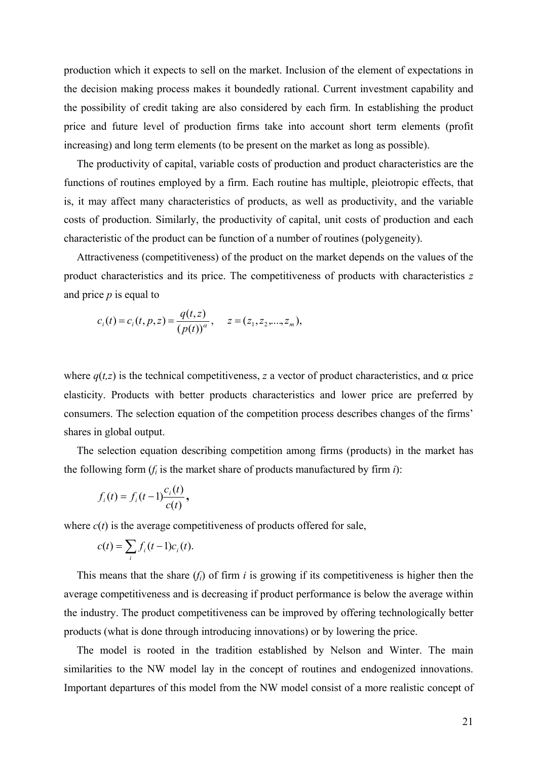production which it expects to sell on the market. Inclusion of the element of expectations in the decision making process makes it boundedly rational. Current investment capability and the possibility of credit taking are also considered by each firm. In establishing the product price and future level of production firms take into account short term elements (profit increasing) and long term elements (to be present on the market as long as possible).

 The productivity of capital, variable costs of production and product characteristics are the functions of routines employed by a firm. Each routine has multiple, pleiotropic effects, that is, it may affect many characteristics of products, as well as productivity, and the variable costs of production. Similarly, the productivity of capital, unit costs of production and each characteristic of the product can be function of a number of routines (polygeneity).

 Attractiveness (competitiveness) of the product on the market depends on the values of the product characteristics and its price. The competitiveness of products with characteristics *z*  and price *p* is equal to

$$
c_i(t) = c_i(t, p, z) = \frac{q(t, z)}{(p(t))^{\alpha}}, \quad z = (z_1, z_2, ..., z_m),
$$

where  $q(t, z)$  is the technical competitiveness, *z* a vector of product characteristics, and  $\alpha$  price elasticity. Products with better products characteristics and lower price are preferred by consumers. The selection equation of the competition process describes changes of the firms' shares in global output.

 The selection equation describing competition among firms (products) in the market has the following form  $(f_i)$  is the market share of products manufactured by firm *i*):

$$
f_i(t) = f_i(t-1)\frac{c_i(t)}{c(t)},
$$

where  $c(t)$  is the average competitiveness of products offered for sale,

$$
c(t) = \sum_i f_i(t-1)c_i(t).
$$

 This means that the share (*fi*) of firm *i* is growing if its competitiveness is higher then the average competitiveness and is decreasing if product performance is below the average within the industry. The product competitiveness can be improved by offering technologically better products (what is done through introducing innovations) or by lowering the price.

 The model is rooted in the tradition established by Nelson and Winter. The main similarities to the NW model lay in the concept of routines and endogenized innovations. Important departures of this model from the NW model consist of a more realistic concept of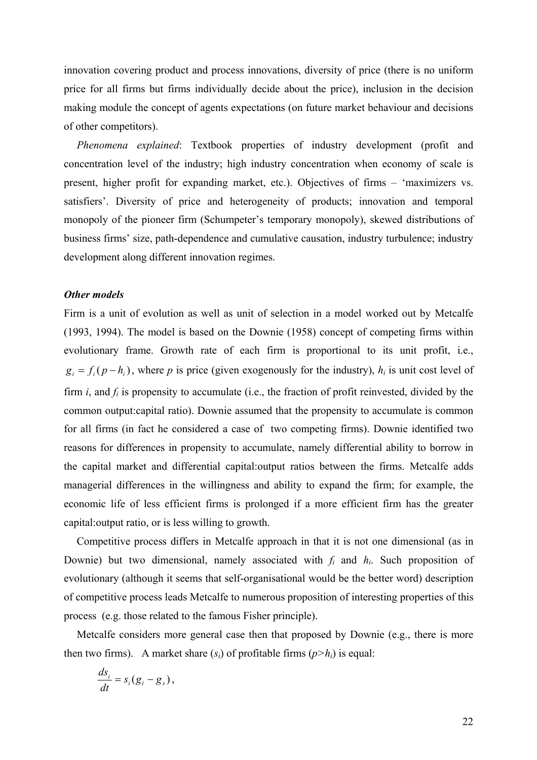innovation covering product and process innovations, diversity of price (there is no uniform price for all firms but firms individually decide about the price), inclusion in the decision making module the concept of agents expectations (on future market behaviour and decisions of other competitors).

 *Phenomena explained*: Textbook properties of industry development (profit and concentration level of the industry; high industry concentration when economy of scale is present, higher profit for expanding market, etc.). Objectives of firms – 'maximizers vs. satisfiers'. Diversity of price and heterogeneity of products; innovation and temporal monopoly of the pioneer firm (Schumpeter's temporary monopoly), skewed distributions of business firms' size, path-dependence and cumulative causation, industry turbulence; industry development along different innovation regimes.

## *Other models*

Firm is a unit of evolution as well as unit of selection in a model worked out by Metcalfe (1993, 1994). The model is based on the Downie (1958) concept of competing firms within evolutionary frame. Growth rate of each firm is proportional to its unit profit, i.e.,  $g_i = f_i(p - h_i)$ , where *p* is price (given exogenously for the industry),  $h_i$  is unit cost level of firm *i*, and *fi* is propensity to accumulate (i.e., the fraction of profit reinvested, divided by the common output:capital ratio). Downie assumed that the propensity to accumulate is common for all firms (in fact he considered a case of two competing firms). Downie identified two reasons for differences in propensity to accumulate, namely differential ability to borrow in the capital market and differential capital:output ratios between the firms. Metcalfe adds managerial differences in the willingness and ability to expand the firm; for example, the economic life of less efficient firms is prolonged if a more efficient firm has the greater capital:output ratio, or is less willing to growth.

 Competitive process differs in Metcalfe approach in that it is not one dimensional (as in Downie) but two dimensional, namely associated with  $f_i$  and  $h_i$ . Such proposition of evolutionary (although it seems that self-organisational would be the better word) description of competitive process leads Metcalfe to numerous proposition of interesting properties of this process (e.g. those related to the famous Fisher principle).

 Metcalfe considers more general case then that proposed by Downie (e.g., there is more then two firms). A market share  $(s_i)$  of profitable firms  $(p > h_i)$  is equal:

$$
\frac{ds_i}{dt}=s_i(g_i-g_s),
$$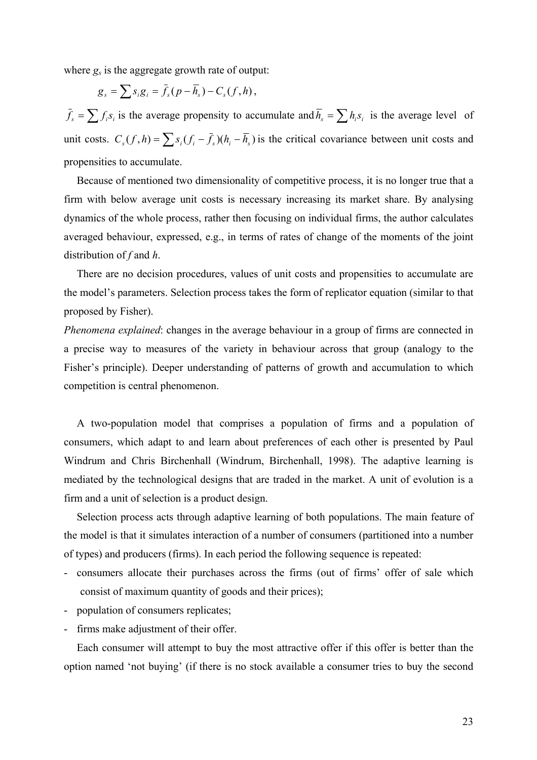where  $g_s$  is the aggregate growth rate of output:

$$
g_s = \sum s_i g_i = \bar{f}_s (p - \bar{h}_s) - C_s (f, h),
$$

 $\bar{f}_s = \sum f_i s_i$  is the average propensity to accumulate and  $\bar{h}_s = \sum h_i s_i$  is the average level of unit costs.  $C_s(f, h) = \sum s_i (f_i - \bar{f}_s)(h_i - \bar{h}_s)$  is the critical covariance between unit costs and propensities to accumulate.

 Because of mentioned two dimensionality of competitive process, it is no longer true that a firm with below average unit costs is necessary increasing its market share. By analysing dynamics of the whole process, rather then focusing on individual firms, the author calculates averaged behaviour, expressed, e.g., in terms of rates of change of the moments of the joint distribution of *f* and *h*.

 There are no decision procedures, values of unit costs and propensities to accumulate are the model's parameters. Selection process takes the form of replicator equation (similar to that proposed by Fisher).

*Phenomena explained*: changes in the average behaviour in a group of firms are connected in a precise way to measures of the variety in behaviour across that group (analogy to the Fisher's principle). Deeper understanding of patterns of growth and accumulation to which competition is central phenomenon.

 A two-population model that comprises a population of firms and a population of consumers, which adapt to and learn about preferences of each other is presented by Paul Windrum and Chris Birchenhall (Windrum, Birchenhall, 1998). The adaptive learning is mediated by the technological designs that are traded in the market. A unit of evolution is a firm and a unit of selection is a product design.

 Selection process acts through adaptive learning of both populations. The main feature of the model is that it simulates interaction of a number of consumers (partitioned into a number of types) and producers (firms). In each period the following sequence is repeated:

- consumers allocate their purchases across the firms (out of firms' offer of sale which consist of maximum quantity of goods and their prices);
- population of consumers replicates;
- firms make adjustment of their offer.

 Each consumer will attempt to buy the most attractive offer if this offer is better than the option named 'not buying' (if there is no stock available a consumer tries to buy the second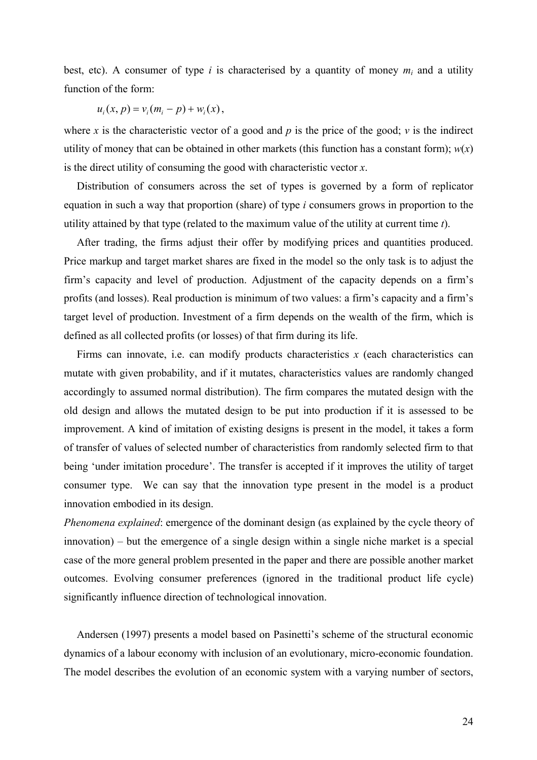best, etc). A consumer of type *i* is characterised by a quantity of money  $m_i$  and a utility function of the form:

$$
u_i(x, p) = v_i(m_i - p) + w_i(x),
$$

where *x* is the characteristic vector of a good and  $p$  is the price of the good;  $v$  is the indirect utility of money that can be obtained in other markets (this function has a constant form);  $w(x)$ is the direct utility of consuming the good with characteristic vector *x*.

 Distribution of consumers across the set of types is governed by a form of replicator equation in such a way that proportion (share) of type *i* consumers grows in proportion to the utility attained by that type (related to the maximum value of the utility at current time *t*).

 After trading, the firms adjust their offer by modifying prices and quantities produced. Price markup and target market shares are fixed in the model so the only task is to adjust the firm's capacity and level of production. Adjustment of the capacity depends on a firm's profits (and losses). Real production is minimum of two values: a firm's capacity and a firm's target level of production. Investment of a firm depends on the wealth of the firm, which is defined as all collected profits (or losses) of that firm during its life.

 Firms can innovate, i.e. can modify products characteristics *x* (each characteristics can mutate with given probability, and if it mutates, characteristics values are randomly changed accordingly to assumed normal distribution). The firm compares the mutated design with the old design and allows the mutated design to be put into production if it is assessed to be improvement. A kind of imitation of existing designs is present in the model, it takes a form of transfer of values of selected number of characteristics from randomly selected firm to that being 'under imitation procedure'. The transfer is accepted if it improves the utility of target consumer type. We can say that the innovation type present in the model is a product innovation embodied in its design.

*Phenomena explained*: emergence of the dominant design (as explained by the cycle theory of innovation) – but the emergence of a single design within a single niche market is a special case of the more general problem presented in the paper and there are possible another market outcomes. Evolving consumer preferences (ignored in the traditional product life cycle) significantly influence direction of technological innovation.

 Andersen (1997) presents a model based on Pasinetti's scheme of the structural economic dynamics of a labour economy with inclusion of an evolutionary, micro-economic foundation. The model describes the evolution of an economic system with a varying number of sectors,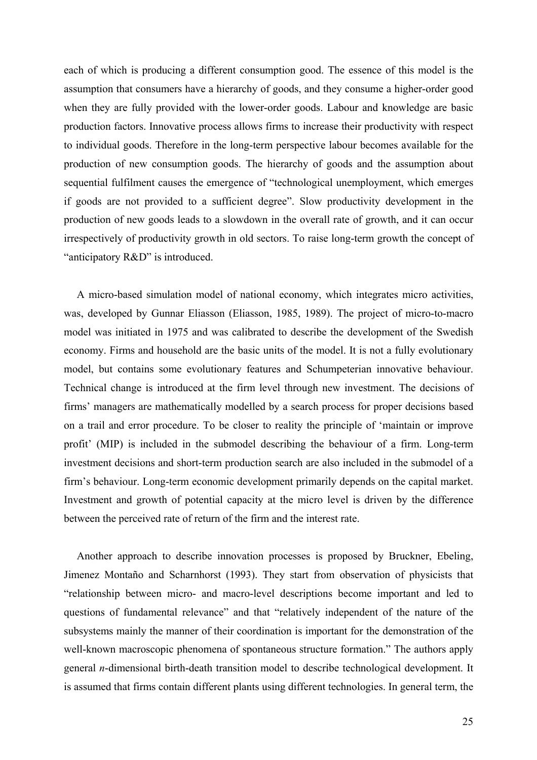each of which is producing a different consumption good. The essence of this model is the assumption that consumers have a hierarchy of goods, and they consume a higher-order good when they are fully provided with the lower-order goods. Labour and knowledge are basic production factors. Innovative process allows firms to increase their productivity with respect to individual goods. Therefore in the long-term perspective labour becomes available for the production of new consumption goods. The hierarchy of goods and the assumption about sequential fulfilment causes the emergence of "technological unemployment, which emerges if goods are not provided to a sufficient degree". Slow productivity development in the production of new goods leads to a slowdown in the overall rate of growth, and it can occur irrespectively of productivity growth in old sectors. To raise long-term growth the concept of "anticipatory R&D" is introduced.

 A micro-based simulation model of national economy, which integrates micro activities, was, developed by Gunnar Eliasson (Eliasson, 1985, 1989). The project of micro-to-macro model was initiated in 1975 and was calibrated to describe the development of the Swedish economy. Firms and household are the basic units of the model. It is not a fully evolutionary model, but contains some evolutionary features and Schumpeterian innovative behaviour. Technical change is introduced at the firm level through new investment. The decisions of firms' managers are mathematically modelled by a search process for proper decisions based on a trail and error procedure. To be closer to reality the principle of 'maintain or improve profit' (MIP) is included in the submodel describing the behaviour of a firm. Long-term investment decisions and short-term production search are also included in the submodel of a firm's behaviour. Long-term economic development primarily depends on the capital market. Investment and growth of potential capacity at the micro level is driven by the difference between the perceived rate of return of the firm and the interest rate.

 Another approach to describe innovation processes is proposed by Bruckner, Ebeling, Jimenez Montaño and Scharnhorst (1993). They start from observation of physicists that "relationship between micro- and macro-level descriptions become important and led to questions of fundamental relevance" and that "relatively independent of the nature of the subsystems mainly the manner of their coordination is important for the demonstration of the well-known macroscopic phenomena of spontaneous structure formation." The authors apply general *n*-dimensional birth-death transition model to describe technological development. It is assumed that firms contain different plants using different technologies. In general term, the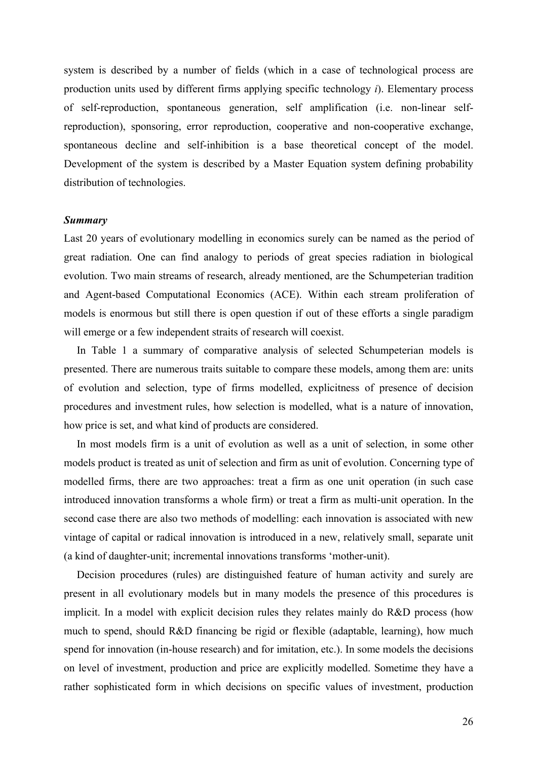system is described by a number of fields (which in a case of technological process are production units used by different firms applying specific technology *i*). Elementary process of self-reproduction, spontaneous generation, self amplification (i.e. non-linear selfreproduction), sponsoring, error reproduction, cooperative and non-cooperative exchange, spontaneous decline and self-inhibition is a base theoretical concept of the model. Development of the system is described by a Master Equation system defining probability distribution of technologies.

#### *Summary*

Last 20 years of evolutionary modelling in economics surely can be named as the period of great radiation. One can find analogy to periods of great species radiation in biological evolution. Two main streams of research, already mentioned, are the Schumpeterian tradition and Agent-based Computational Economics (ACE). Within each stream proliferation of models is enormous but still there is open question if out of these efforts a single paradigm will emerge or a few independent straits of research will coexist.

 In Table 1 a summary of comparative analysis of selected Schumpeterian models is presented. There are numerous traits suitable to compare these models, among them are: units of evolution and selection, type of firms modelled, explicitness of presence of decision procedures and investment rules, how selection is modelled, what is a nature of innovation, how price is set, and what kind of products are considered.

 In most models firm is a unit of evolution as well as a unit of selection, in some other models product is treated as unit of selection and firm as unit of evolution. Concerning type of modelled firms, there are two approaches: treat a firm as one unit operation (in such case introduced innovation transforms a whole firm) or treat a firm as multi-unit operation. In the second case there are also two methods of modelling: each innovation is associated with new vintage of capital or radical innovation is introduced in a new, relatively small, separate unit (a kind of daughter-unit; incremental innovations transforms 'mother-unit).

 Decision procedures (rules) are distinguished feature of human activity and surely are present in all evolutionary models but in many models the presence of this procedures is implicit. In a model with explicit decision rules they relates mainly do R&D process (how much to spend, should R&D financing be rigid or flexible (adaptable, learning), how much spend for innovation (in-house research) and for imitation, etc.). In some models the decisions on level of investment, production and price are explicitly modelled. Sometime they have a rather sophisticated form in which decisions on specific values of investment, production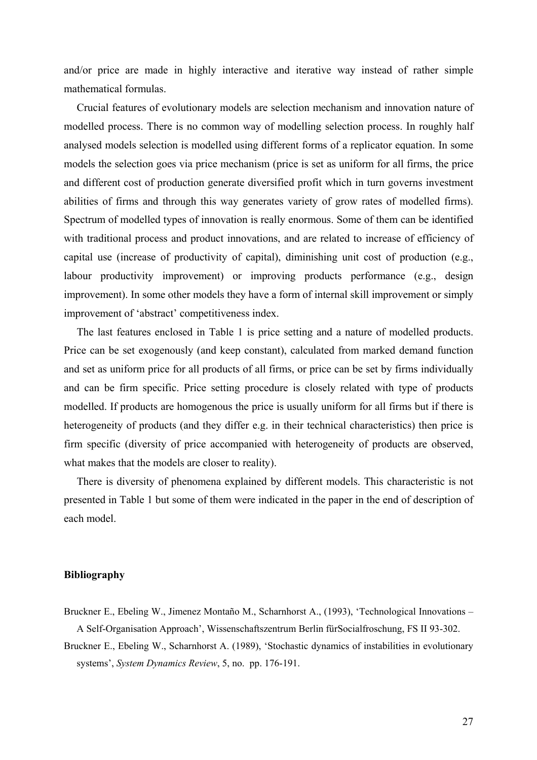and/or price are made in highly interactive and iterative way instead of rather simple mathematical formulas.

 Crucial features of evolutionary models are selection mechanism and innovation nature of modelled process. There is no common way of modelling selection process. In roughly half analysed models selection is modelled using different forms of a replicator equation. In some models the selection goes via price mechanism (price is set as uniform for all firms, the price and different cost of production generate diversified profit which in turn governs investment abilities of firms and through this way generates variety of grow rates of modelled firms). Spectrum of modelled types of innovation is really enormous. Some of them can be identified with traditional process and product innovations, and are related to increase of efficiency of capital use (increase of productivity of capital), diminishing unit cost of production (e.g., labour productivity improvement) or improving products performance (e.g., design improvement). In some other models they have a form of internal skill improvement or simply improvement of 'abstract' competitiveness index.

 The last features enclosed in Table 1 is price setting and a nature of modelled products. Price can be set exogenously (and keep constant), calculated from marked demand function and set as uniform price for all products of all firms, or price can be set by firms individually and can be firm specific. Price setting procedure is closely related with type of products modelled. If products are homogenous the price is usually uniform for all firms but if there is heterogeneity of products (and they differ e.g. in their technical characteristics) then price is firm specific (diversity of price accompanied with heterogeneity of products are observed, what makes that the models are closer to reality).

 There is diversity of phenomena explained by different models. This characteristic is not presented in Table 1 but some of them were indicated in the paper in the end of description of each model.

## **Bibliography**

- Bruckner E., Ebeling W., Jimenez Montaño M., Scharnhorst A., (1993), 'Technological Innovations A Self-Organisation Approach', Wissenschaftszentrum Berlin fürSocialfroschung, FS II 93-302.
- Bruckner E., Ebeling W., Scharnhorst A. (1989), 'Stochastic dynamics of instabilities in evolutionary systems', *System Dynamics Review*, 5, no. pp. 176-191.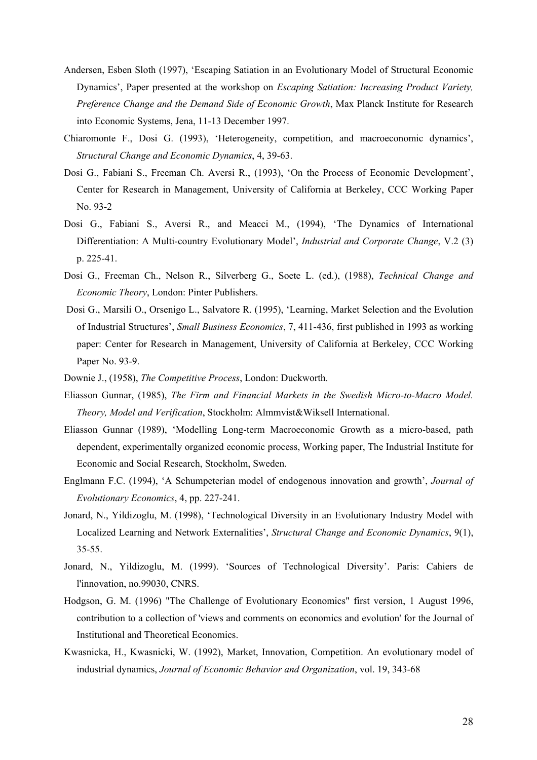- Andersen, Esben Sloth (1997), 'Escaping Satiation in an Evolutionary Model of Structural Economic Dynamics', Paper presented at the workshop on *Escaping Satiation: Increasing Product Variety, Preference Change and the Demand Side of Economic Growth*, Max Planck Institute for Research into Economic Systems, Jena, 11-13 December 1997.
- Chiaromonte F., Dosi G. (1993), 'Heterogeneity, competition, and macroeconomic dynamics', *Structural Change and Economic Dynamics*, 4, 39-63.
- Dosi G., Fabiani S., Freeman Ch. Aversi R., (1993), 'On the Process of Economic Development', Center for Research in Management, University of California at Berkeley, CCC Working Paper No. 93-2
- Dosi G., Fabiani S., Aversi R., and Meacci M., (1994), 'The Dynamics of International Differentiation: A Multi-country Evolutionary Model', *Industrial and Corporate Change*, V.2 (3) p. 225-41.
- Dosi G., Freeman Ch., Nelson R., Silverberg G., Soete L. (ed.), (1988), *Technical Change and Economic Theory*, London: Pinter Publishers.
- Dosi G., Marsili O., Orsenigo L., Salvatore R. (1995), 'Learning, Market Selection and the Evolution of Industrial Structures', *Small Business Economics*, 7, 411-436, first published in 1993 as working paper: Center for Research in Management, University of California at Berkeley, CCC Working Paper No. 93-9.
- Downie J., (1958), *The Competitive Process*, London: Duckworth.
- Eliasson Gunnar, (1985), *The Firm and Financial Markets in the Swedish Micro-to-Macro Model. Theory, Model and Verification*, Stockholm: Almmvist&Wiksell International.
- Eliasson Gunnar (1989), 'Modelling Long-term Macroeconomic Growth as a micro-based, path dependent, experimentally organized economic process, Working paper, The Industrial Institute for Economic and Social Research, Stockholm, Sweden.
- Englmann F.C. (1994), 'A Schumpeterian model of endogenous innovation and growth', *Journal of Evolutionary Economics*, 4, pp. 227-241.
- Jonard, N., Yildizoglu, M. (1998), 'Technological Diversity in an Evolutionary Industry Model with Localized Learning and Network Externalities', *Structural Change and Economic Dynamics*, 9(1), 35-55.
- Jonard, N., Yildizoglu, M. (1999). 'Sources of Technological Diversity'. Paris: Cahiers de l'innovation, no.99030, CNRS.
- Hodgson, G. M. (1996) "The Challenge of Evolutionary Economics" first version, 1 August 1996, contribution to a collection of 'views and comments on economics and evolution' for the Journal of Institutional and Theoretical Economics.
- Kwasnicka, H., Kwasnicki, W. (1992), Market, Innovation, Competition. An evolutionary model of industrial dynamics, *Journal of Economic Behavior and Organization*, vol. 19, 343-68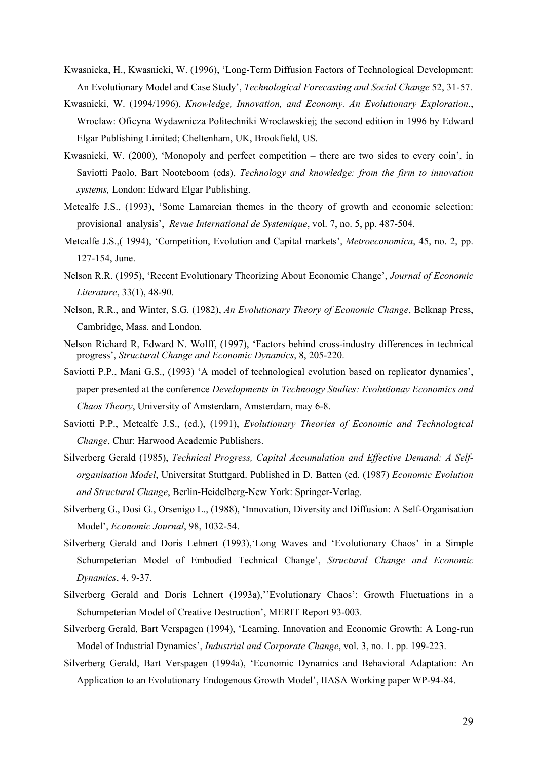- Kwasnicka, H., Kwasnicki, W. (1996), 'Long-Term Diffusion Factors of Technological Development: An Evolutionary Model and Case Study', *Technological Forecasting and Social Change* 52, 31-57.
- Kwasnicki, W. (1994/1996), *Knowledge, Innovation, and Economy. An Evolutionary Exploration*., Wroclaw: Oficyna Wydawnicza Politechniki Wroclawskiej; the second edition in 1996 by Edward Elgar Publishing Limited; Cheltenham, UK, Brookfield, US.
- Kwasnicki, W. (2000), 'Monopoly and perfect competition there are two sides to every coin', in Saviotti Paolo, Bart Nooteboom (eds), *Technology and knowledge: from the firm to innovation systems,* London: Edward Elgar Publishing.
- Metcalfe J.S., (1993), 'Some Lamarcian themes in the theory of growth and economic selection: provisional analysis', *Revue International de Systemique*, vol. 7, no. 5, pp. 487-504.
- Metcalfe J.S.,( 1994), 'Competition, Evolution and Capital markets', *Metroeconomica*, 45, no. 2, pp. 127-154, June.
- Nelson R.R. (1995), 'Recent Evolutionary Theorizing About Economic Change', *Journal of Economic Literature*, 33(1), 48-90.
- Nelson, R.R., and Winter, S.G. (1982), *An Evolutionary Theory of Economic Change*, Belknap Press, Cambridge, Mass. and London.
- Nelson Richard R, Edward N. Wolff, (1997), 'Factors behind cross-industry differences in technical progress', *Structural Change and Economic Dynamics*, 8, 205-220.
- Saviotti P.P., Mani G.S., (1993) 'A model of technological evolution based on replicator dynamics', paper presented at the conference *Developments in Technoogy Studies: Evolutionay Economics and Chaos Theory*, University of Amsterdam, Amsterdam, may 6-8.
- Saviotti P.P., Metcalfe J.S., (ed.), (1991), *Evolutionary Theories of Economic and Technological Change*, Chur: Harwood Academic Publishers.
- Silverberg Gerald (1985), *Technical Progress, Capital Accumulation and Effective Demand: A Selforganisation Model*, Universitat Stuttgard. Published in D. Batten (ed. (1987) *Economic Evolution and Structural Change*, Berlin-Heidelberg-New York: Springer-Verlag.
- Silverberg G., Dosi G., Orsenigo L., (1988), 'Innovation, Diversity and Diffusion: A Self-Organisation Model', *Economic Journal*, 98, 1032-54.
- Silverberg Gerald and Doris Lehnert (1993),'Long Waves and 'Evolutionary Chaos' in a Simple Schumpeterian Model of Embodied Technical Change', *Structural Change and Economic Dynamics*, 4, 9-37.
- Silverberg Gerald and Doris Lehnert (1993a),''Evolutionary Chaos': Growth Fluctuations in a Schumpeterian Model of Creative Destruction', MERIT Report 93-003.
- Silverberg Gerald, Bart Verspagen (1994), 'Learning. Innovation and Economic Growth: A Long-run Model of Industrial Dynamics', *Industrial and Corporate Change*, vol. 3, no. 1. pp. 199-223.
- Silverberg Gerald, Bart Verspagen (1994a), 'Economic Dynamics and Behavioral Adaptation: An Application to an Evolutionary Endogenous Growth Model', IIASA Working paper WP-94-84.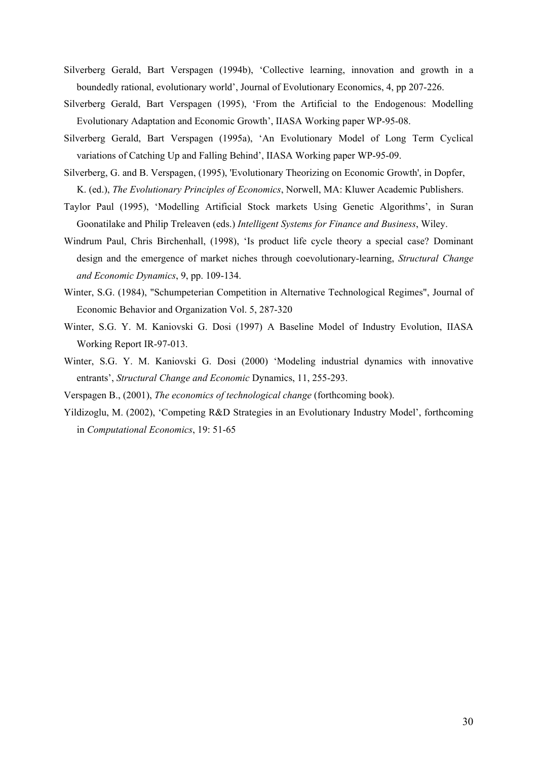- Silverberg Gerald, Bart Verspagen (1994b), 'Collective learning, innovation and growth in a boundedly rational, evolutionary world', Journal of Evolutionary Economics, 4, pp 207-226.
- Silverberg Gerald, Bart Verspagen (1995), 'From the Artificial to the Endogenous: Modelling Evolutionary Adaptation and Economic Growth', IIASA Working paper WP-95-08.
- Silverberg Gerald, Bart Verspagen (1995a), 'An Evolutionary Model of Long Term Cyclical variations of Catching Up and Falling Behind', IIASA Working paper WP-95-09.
- Silverberg, G. and B. Verspagen, (1995), 'Evolutionary Theorizing on Economic Growth', in Dopfer, K. (ed.), *The Evolutionary Principles of Economics*, Norwell, MA: Kluwer Academic Publishers.
- Taylor Paul (1995), 'Modelling Artificial Stock markets Using Genetic Algorithms', in Suran Goonatilake and Philip Treleaven (eds.) *Intelligent Systems for Finance and Business*, Wiley.
- Windrum Paul, Chris Birchenhall, (1998), 'Is product life cycle theory a special case? Dominant design and the emergence of market niches through coevolutionary-learning, *Structural Change and Economic Dynamics*, 9, pp. 109-134.
- Winter, S.G. (1984), "Schumpeterian Competition in Alternative Technological Regimes", Journal of Economic Behavior and Organization Vol. 5, 287-320
- Winter, S.G. Y. M. Kaniovski G. Dosi (1997) A Baseline Model of Industry Evolution, IIASA Working Report IR-97-013.
- Winter, S.G. Y. M. Kaniovski G. Dosi (2000) 'Modeling industrial dynamics with innovative entrants', *Structural Change and Economic* Dynamics, 11, 255-293.
- Verspagen B., (2001), *The economics of technological change* (forthcoming book).
- Yildizoglu, M. (2002), 'Competing R&D Strategies in an Evolutionary Industry Model', forthcoming in *Computational Economics*, 19: 51-65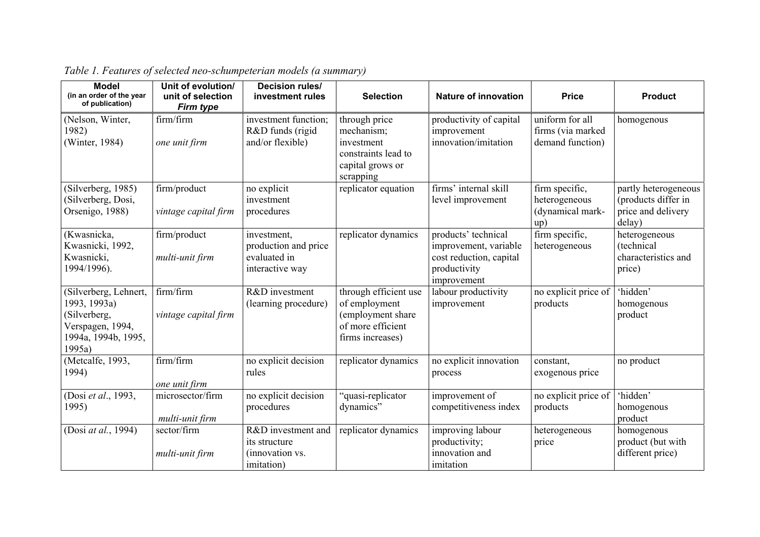| <b>Model</b><br>(in an order of the year<br>of publication)                                                | Unit of evolution/<br>unit of selection<br><b>Firm type</b> | <b>Decision rules/</b><br>investment rules                             | <b>Selection</b>                                                                                     | <b>Nature of innovation</b>                                                                            | <b>Price</b>                                               | <b>Product</b>                                                              |
|------------------------------------------------------------------------------------------------------------|-------------------------------------------------------------|------------------------------------------------------------------------|------------------------------------------------------------------------------------------------------|--------------------------------------------------------------------------------------------------------|------------------------------------------------------------|-----------------------------------------------------------------------------|
| (Nelson, Winter,<br>1982)<br>(Winter, 1984)                                                                | firm/firm<br>one unit firm                                  | investment function;<br>R&D funds (rigid<br>and/or flexible)           | through price<br>mechanism;<br>investment<br>constraints lead to<br>capital grows or<br>scrapping    | productivity of capital<br>improvement<br>innovation/imitation                                         | uniform for all<br>firms (via marked<br>demand function)   | homogenous                                                                  |
| (Silverberg, 1985)<br>(Silverberg, Dosi,<br>Orsenigo, 1988)                                                | firm/product<br>vintage capital firm                        | no explicit<br>investment<br>procedures                                | replicator equation                                                                                  | firms' internal skill<br>level improvement                                                             | firm specific,<br>heterogeneous<br>(dynamical mark-<br>up) | partly heterogeneous<br>(products differ in<br>price and delivery<br>delay) |
| (Kwasnicka,<br>Kwasnicki, 1992,<br>Kwasnicki,<br>1994/1996).                                               | firm/product<br>multi-unit firm                             | investment,<br>production and price<br>evaluated in<br>interactive way | replicator dynamics                                                                                  | products' technical<br>improvement, variable<br>cost reduction, capital<br>productivity<br>improvement | firm specific,<br>heterogeneous                            | heterogeneous<br>(technical<br>characteristics and<br>price)                |
| (Silverberg, Lehnert,<br>1993, 1993a)<br>(Silverberg,<br>Verspagen, 1994,<br>1994a, 1994b, 1995,<br>1995a) | firm/firm<br>vintage capital firm                           | R&D investment<br>(learning procedure)                                 | through efficient use<br>of employment<br>(employment share<br>of more efficient<br>firms increases) | labour productivity<br>improvement                                                                     | no explicit price of<br>products                           | 'hidden'<br>homogenous<br>product                                           |
| (Metcalfe, 1993,<br>1994)                                                                                  | firm/firm<br>one unit firm                                  | no explicit decision<br>rules                                          | replicator dynamics                                                                                  | no explicit innovation<br>process                                                                      | constant,<br>exogenous price                               | no product                                                                  |
| (Dosi et al., 1993,<br>1995)                                                                               | microsector/firm<br>multi-unit firm                         | no explicit decision<br>procedures                                     | "quasi-replicator<br>dynamics"                                                                       | improvement of<br>competitiveness index                                                                | no explicit price of<br>products                           | 'hidden'<br>homogenous<br>product                                           |
| (Dosi at al., 1994)                                                                                        | sector/firm<br>multi-unit firm                              | R&D investment and<br>its structure<br>(innovation vs.<br>imitation)   | replicator dynamics                                                                                  | improving labour<br>productivity;<br>innovation and<br>imitation                                       | heterogeneous<br>price                                     | homogenous<br>product (but with<br>different price)                         |

*Table 1. Features of selected neo-schumpeterian models (a summary)*